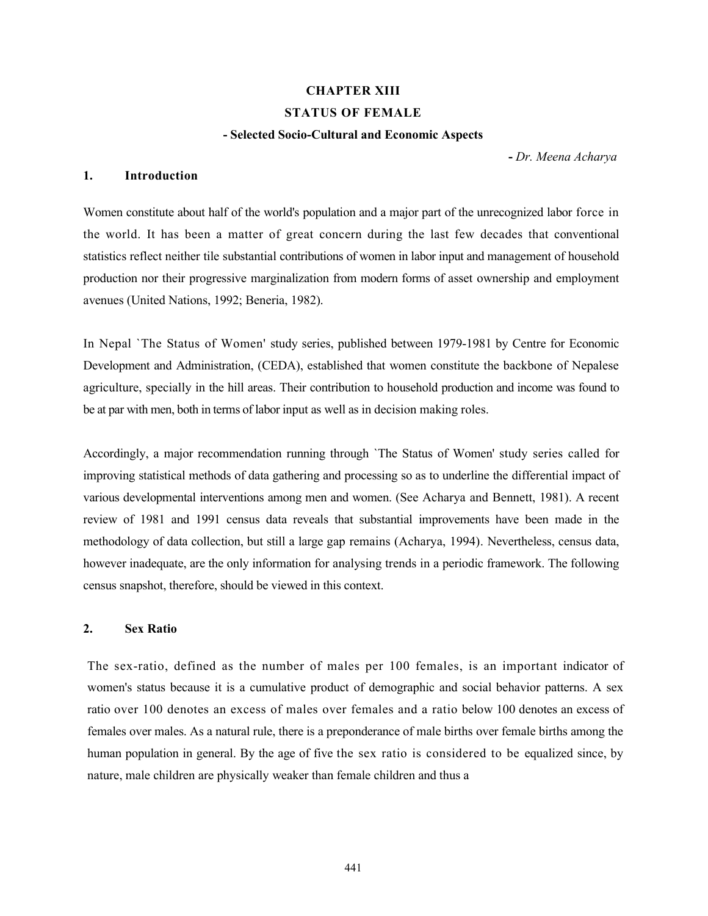### CHAPTER XIII

#### STATUS OF FEMALE

#### - Selected Socio-Cultural and Economic Aspects

- Dr. Meena Acharya

## 1. Introduction

Women constitute about half of the world's population and a major part of the unrecognized labor force in the world. It has been a matter of great concern during the last few decades that conventional statistics reflect neither tile substantial contributions of women in labor input and management of household production nor their progressive marginalization from modern forms of asset ownership and employment avenues (United Nations, 1992; Beneria, 1982).

In Nepal `The Status of Women' study series, published between 1979-1981 by Centre for Economic Development and Administration, (CEDA), established that women constitute the backbone of Nepalese agriculture, specially in the hill areas. Their contribution to household production and income was found to be at par with men, both in terms of labor input as well as in decision making roles.

Accordingly, a major recommendation running through `The Status of Women' study series called for improving statistical methods of data gathering and processing so as to underline the differential impact of various developmental interventions among men and women. (See Acharya and Bennett, 1981). A recent review of 1981 and 1991 census data reveals that substantial improvements have been made in the methodology of data collection, but still a large gap remains (Acharya, 1994). Nevertheless, census data, however inadequate, are the only information for analysing trends in a periodic framework. The following census snapshot, therefore, should be viewed in this context.

## 2. Sex Ratio

The sex-ratio, defined as the number of males per 100 females, is an important indicator of women's status because it is a cumulative product of demographic and social behavior patterns. A sex ratio over 100 denotes an excess of males over females and a ratio below 100 denotes an excess of females over males. As a natural rule, there is a preponderance of male births over female births among the human population in general. By the age of five the sex ratio is considered to be equalized since, by nature, male children are physically weaker than female children and thus a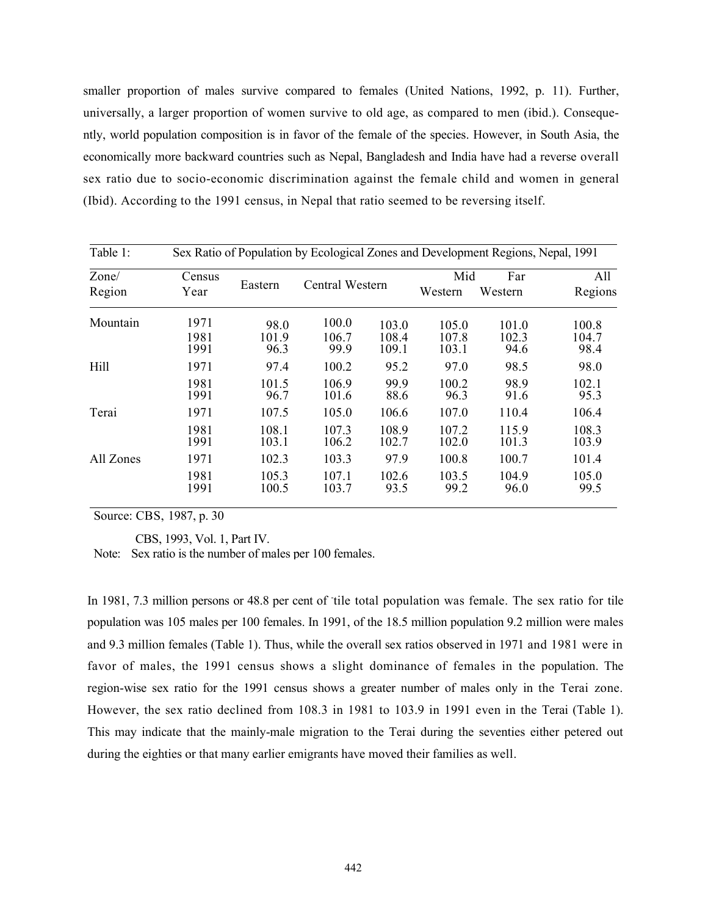smaller proportion of males survive compared to females (United Nations, 1992, p. 11). Further, universally, a larger proportion of women survive to old age, as compared to men (ibid.). Consequently, world population composition is in favor of the female of the species. However, in South Asia, the economically more backward countries such as Nepal, Bangladesh and India have had a reverse overall sex ratio due to socio-economic discrimination against the female child and women in general (Ibid). According to the 1991 census, in Nepal that ratio seemed to be reversing itself.

| Table 1:        |                | Sex Ratio of Population by Ecological Zones and Development Regions, Nepal, 1991 |                |                 |                  |                       |                |  |
|-----------------|----------------|----------------------------------------------------------------------------------|----------------|-----------------|------------------|-----------------------|----------------|--|
| Zone/<br>Region | Census<br>Year | Eastern                                                                          |                | Central Western |                  | Mid<br>Far<br>Western | All<br>Regions |  |
| Mountain        | 1971           | 98.0                                                                             | 100.0          | 103.0           | Western<br>105.0 | 101.0                 | 100.8          |  |
|                 | 1981<br>1991   | 101.9<br>96.3                                                                    | 106.7<br>99.9  | 108.4<br>109.1  | 107.8<br>103.1   | 102.3<br>94.6         | 104.7<br>98.4  |  |
| Hill            | 1971           | 97.4                                                                             | 100.2          | 95.2            | 97.0             | 98.5                  | 98.0           |  |
|                 | 1981<br>1991   | 101.5<br>96.7                                                                    | 106.9<br>101.6 | 99.9<br>88.6    | 100.2<br>96.3    | 98.9<br>91.6          | 102.1<br>95.3  |  |
| Terai           | 1971           | 107.5                                                                            | 105.0          | 106.6           | 107.0            | 110.4                 | 106.4          |  |
|                 | 1981<br>1991   | 108.1<br>103.1                                                                   | 107.3<br>106.2 | 108.9<br>102.7  | 107.2<br>102.0   | 115.9<br>101.3        | 108.3<br>103.9 |  |
| All Zones       | 1971           | 102.3                                                                            | 103.3          | 97.9            | 100.8            | 100.7                 | 101.4          |  |
|                 | 1981<br>1991   | 105.3<br>100.5                                                                   | 107.1<br>103.7 | 102.6<br>93.5   | 103.5<br>99.2    | 104.9<br>96.0         | 105.0<br>99.5  |  |

Source: CBS, 1987, p. 30

CBS, 1993, Vol. 1, Part IV.

Note: Sex ratio is the number of males per 100 females.

In 1981, 7.3 million persons or 48.8 per cent of tile total population was female. The sex ratio for tile population was 105 males per 100 females. In 1991, of the 18.5 million population 9.2 million were males and 9.3 million females (Table 1). Thus, while the overall sex ratios observed in 1971 and 1981 were in favor of males, the 1991 census shows a slight dominance of females in the population. The region-wise sex ratio for the 1991 census shows a greater number of males only in the Terai zone. However, the sex ratio declined from 108.3 in 1981 to 103.9 in 1991 even in the Terai (Table 1). This may indicate that the mainly-male migration to the Terai during the seventies either petered out during the eighties or that many earlier emigrants have moved their families as well.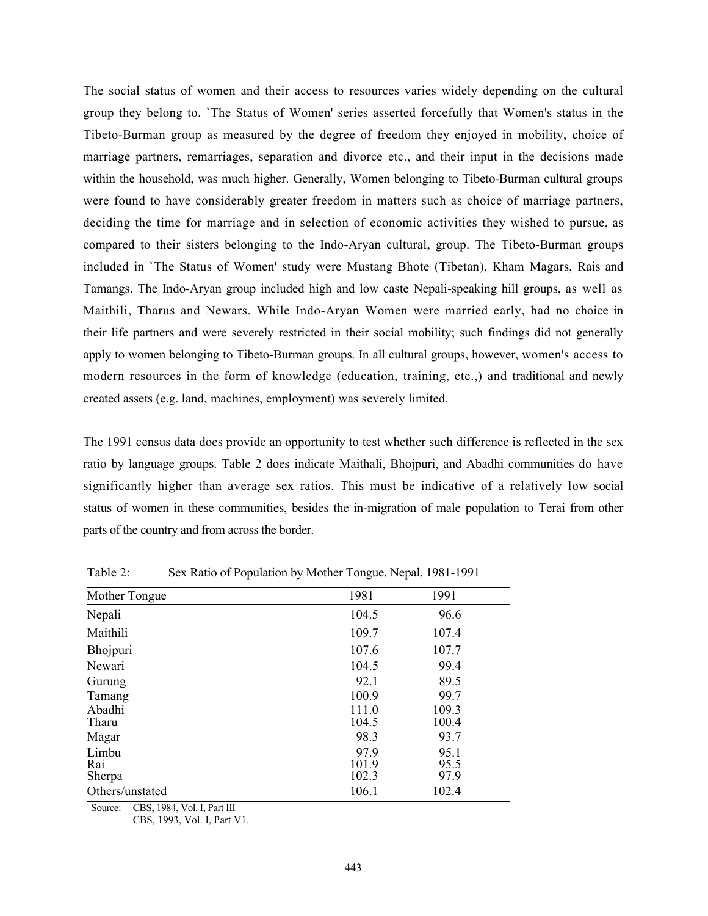The social status of women and their access to resources varies widely depending on the cultural group they belong to. `The Status of Women' series asserted forcefully that Women's status in the Tibeto-Burman group as measured by the degree of freedom they enjoyed in mobility, choice of marriage partners, remarriages, separation and divorce etc., and their input in the decisions made within the household, was much higher. Generally, Women belonging to Tibeto-Burman cultural groups were found to have considerably greater freedom in matters such as choice of marriage partners, deciding the time for marriage and in selection of economic activities they wished to pursue, as compared to their sisters belonging to the Indo-Aryan cultural, group. The Tibeto-Burman groups included in `The Status of Women' study were Mustang Bhote (Tibetan), Kham Magars, Rais and Tamangs. The Indo-Aryan group included high and low caste Nepali-speaking hill groups, as well as Maithili, Tharus and Newars. While Indo-Aryan Women were married early, had no choice in their life partners and were severely restricted in their social mobility; such findings did not generally apply to women belonging to Tibeto-Burman groups. In all cultural groups, however, women's access to modern resources in the form of knowledge (education, training, etc.,) and traditional and newly created assets (e.g. land, machines, employment) was severely limited.

The 1991 census data does provide an opportunity to test whether such difference is reflected in the sex ratio by language groups. Table 2 does indicate Maithali, Bhojpuri, and Abadhi communities do have significantly higher than average sex ratios. This must be indicative of a relatively low social status of women in these communities, besides the in-migration of male population to Terai from other parts of the country and from across the border.

| Mother Tongue   | 1981  | 1991  |
|-----------------|-------|-------|
| Nepali          | 104.5 | 96.6  |
| Maithili        | 109.7 | 107.4 |
| Bhojpuri        | 107.6 | 107.7 |
| Newari          | 104.5 | 99.4  |
| Gurung          | 92.1  | 89.5  |
| Tamang          | 100.9 | 99.7  |
| Abadhi          | 111.0 | 109.3 |
| Tharu           | 104.5 | 100.4 |
| Magar           | 98.3  | 93.7  |
| Limbu           | 97.9  | 95.1  |
| Rai             | 101.9 | 95.5  |
| Sherpa          | 102.3 | 97.9  |
| Others/unstated | 106.1 | 102.4 |

Table 2: Sex Ratio of Population by Mother Tongue, Nepal, 1981-1991

Source: CBS, 1984, Vol. I, Part III

CBS, 1993, Vol. I, Part V1.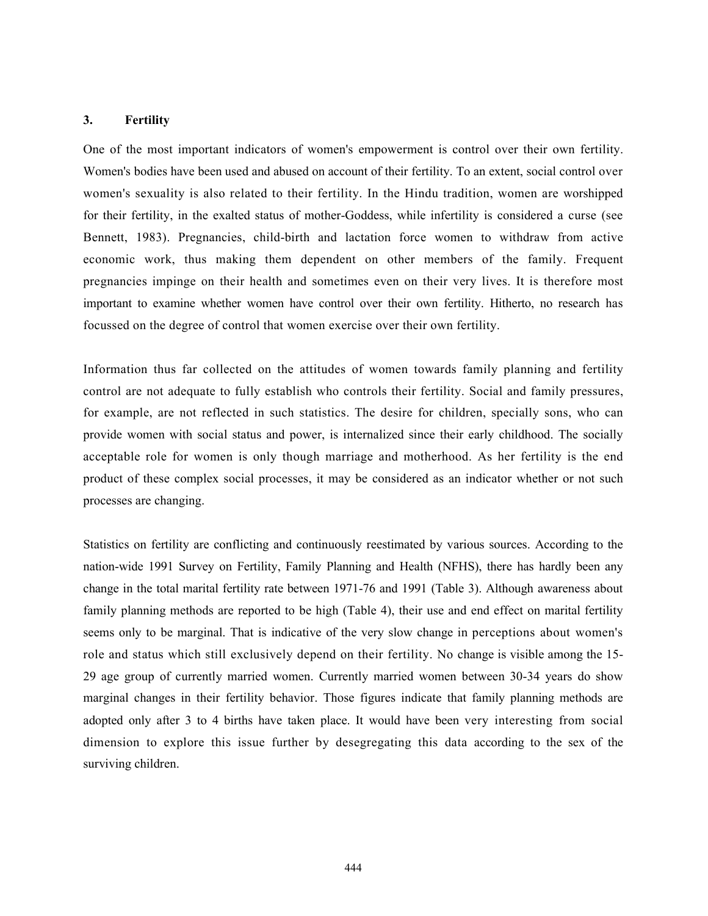#### 3. Fertility

One of the most important indicators of women's empowerment is control over their own fertility. Women's bodies have been used and abused on account of their fertility. To an extent, social control over women's sexuality is also related to their fertility. In the Hindu tradition, women are worshipped for their fertility, in the exalted status of mother-Goddess, while infertility is considered a curse (see Bennett, 1983). Pregnancies, child-birth and lactation force women to withdraw from active economic work, thus making them dependent on other members of the family. Frequent pregnancies impinge on their health and sometimes even on their very lives. It is therefore most important to examine whether women have control over their own fertility. Hitherto, no research has focussed on the degree of control that women exercise over their own fertility.

Information thus far collected on the attitudes of women towards family planning and fertility control are not adequate to fully establish who controls their fertility. Social and family pressures, for example, are not reflected in such statistics. The desire for children, specially sons, who can provide women with social status and power, is internalized since their early childhood. The socially acceptable role for women is only though marriage and motherhood. As her fertility is the end product of these complex social processes, it may be considered as an indicator whether or not such processes are changing.

Statistics on fertility are conflicting and continuously reestimated by various sources. According to the nation-wide 1991 Survey on Fertility, Family Planning and Health (NFHS), there has hardly been any change in the total marital fertility rate between 1971-76 and 1991 (Table 3). Although awareness about family planning methods are reported to be high (Table 4), their use and end effect on marital fertility seems only to be marginal. That is indicative of the very slow change in perceptions about women's role and status which still exclusively depend on their fertility. No change is visible among the 15- 29 age group of currently married women. Currently married women between 30-34 years do show marginal changes in their fertility behavior. Those figures indicate that family planning methods are adopted only after 3 to 4 births have taken place. It would have been very interesting from social dimension to explore this issue further by desegregating this data according to the sex of the surviving children.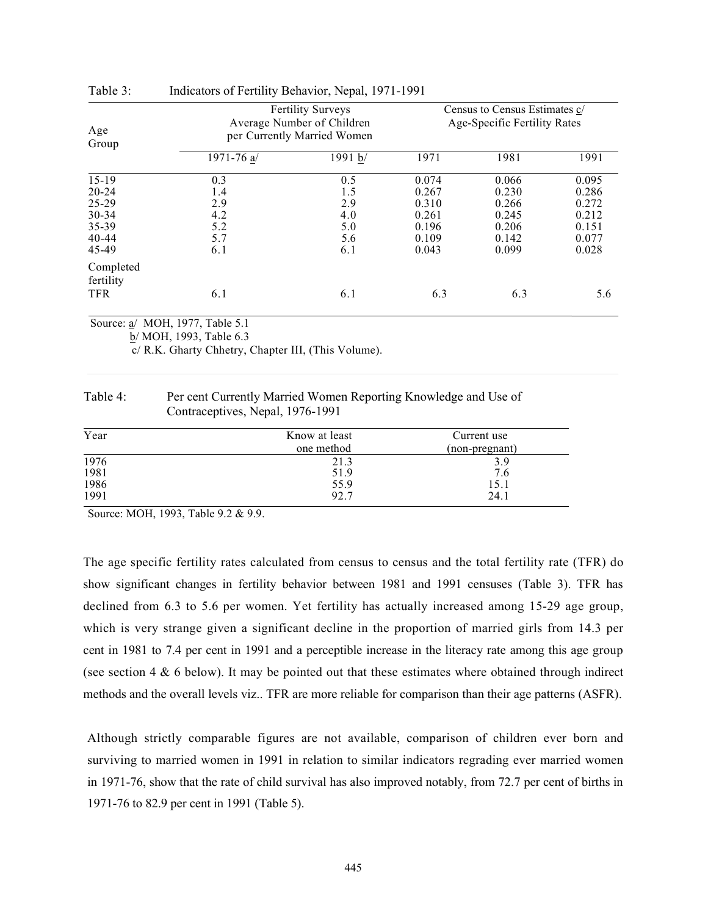| Age                                                                           | <b>Fertility Surveys</b><br>Average Number of Children<br>per Currently Married Women | Census to Census Estimates c/<br>Age-Specific Fertility Rates |                                                             |                                                             |                                                             |
|-------------------------------------------------------------------------------|---------------------------------------------------------------------------------------|---------------------------------------------------------------|-------------------------------------------------------------|-------------------------------------------------------------|-------------------------------------------------------------|
| Group                                                                         | 1971-76 $a/$                                                                          | 1991 b/                                                       | 1971                                                        | 1981                                                        | 1991                                                        |
| $15-19$<br>$20 - 24$<br>$25 - 29$<br>$30 - 34$<br>35-39<br>$40 - 44$<br>45-49 | 0.3<br>1.4<br>2.9<br>4.2<br>5.2<br>5.7<br>6.1                                         | 0.5<br>1.5<br>2.9<br>4.0<br>5.0<br>5.6<br>6.1                 | 0.074<br>0.267<br>0.310<br>0.261<br>0.196<br>0.109<br>0.043 | 0.066<br>0.230<br>0.266<br>0.245<br>0.206<br>0.142<br>0.099 | 0.095<br>0.286<br>0.272<br>0.212<br>0.151<br>0.077<br>0.028 |
| Completed<br>fertility<br><b>TFR</b>                                          | 6.1                                                                                   | 6.1                                                           | 6.3                                                         | 6.3                                                         | 5.6                                                         |

| Table 3: |  |  | Indicators of Fertility Behavior, Nepal, 1971-1991 |
|----------|--|--|----------------------------------------------------|
|          |  |  |                                                    |

Source: a/ MOH, 1977, Table 5.1

b/ MOH, 1993, Table 6.3

c/ R.K. Gharty Chhetry, Chapter III, (This Volume).

| Table 4: | Per cent Currently Married Women Reporting Knowledge and Use of |
|----------|-----------------------------------------------------------------|
|          | Contraceptives, Nepal, 1976-1991                                |

| Year         | Know at least | Current use    |
|--------------|---------------|----------------|
|              | one method    | (non-pregnant) |
| 1976         | 21.3          | 3.9            |
| 1981         | 51.9          | 7.6            |
| 1986<br>1991 | 55.9          | 15.1           |
|              | 92.7          | 24.1           |

Source: MOH, 1993, Table 9.2 & 9.9.

The age specific fertility rates calculated from census to census and the total fertility rate (TFR) do show significant changes in fertility behavior between 1981 and 1991 censuses (Table 3). TFR has declined from 6.3 to 5.6 per women. Yet fertility has actually increased among 15-29 age group, which is very strange given a significant decline in the proportion of married girls from 14.3 per cent in 1981 to 7.4 per cent in 1991 and a perceptible increase in the literacy rate among this age group (see section  $4 \& 6$  below). It may be pointed out that these estimates where obtained through indirect methods and the overall levels viz.. TFR are more reliable for comparison than their age patterns (ASFR).

Although strictly comparable figures are not available, comparison of children ever born and surviving to married women in 1991 in relation to similar indicators regrading ever married women in 1971-76, show that the rate of child survival has also improved notably, from 72.7 per cent of births in 1971-76 to 82.9 per cent in 1991 (Table 5).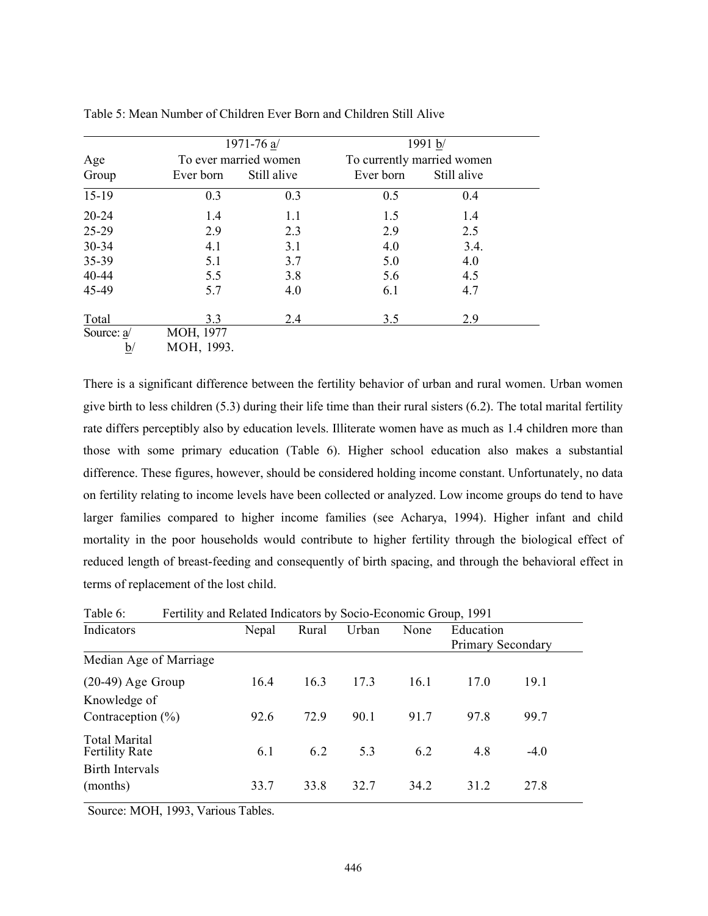|            |            | 1971-76 a/            | 1991 b/                    |             |  |
|------------|------------|-----------------------|----------------------------|-------------|--|
| Age        |            | To ever married women | To currently married women |             |  |
| Group      | Ever born  | Still alive           | Ever born                  | Still alive |  |
| $15-19$    | 0.3        | 0.3                   | 0.5                        | 0.4         |  |
| $20 - 24$  | 1.4        | 1.1                   | 1.5                        | 1.4         |  |
| 25-29      | 2.9        | 2.3                   | 2.9                        | 2.5         |  |
| 30-34      | 4.1        | 3.1                   | 4.0                        | 3.4.        |  |
| 35-39      | 5.1        | 3.7                   | 5.0                        | 4.0         |  |
| 40-44      | 5.5        | 3.8                   | 5.6                        | 4.5         |  |
| 45-49      | 5.7        | 4.0                   | 6.1                        | 4.7         |  |
| Total      | 3.3        | 2.4                   | 3.5                        | 2.9         |  |
| Source: a/ | MOH, 1977  |                       |                            |             |  |
| <u>b</u>   | MOH, 1993. |                       |                            |             |  |

Table 5: Mean Number of Children Ever Born and Children Still Alive

There is a significant difference between the fertility behavior of urban and rural women. Urban women give birth to less children (5.3) during their life time than their rural sisters (6.2). The total marital fertility rate differs perceptibly also by education levels. Illiterate women have as much as 1.4 children more than those with some primary education (Table 6). Higher school education also makes a substantial difference. These figures, however, should be considered holding income constant. Unfortunately, no data on fertility relating to income levels have been collected or analyzed. Low income groups do tend to have larger families compared to higher income families (see Acharya, 1994). Higher infant and child mortality in the poor households would contribute to higher fertility through the biological effect of reduced length of breast-feeding and consequently of birth spacing, and through the behavioral effect in terms of replacement of the lost child.

| Table 6:<br>Fertility and Related Indicators by Socio-Economic Group, 1991 |       |       |       |      |                   |        |  |
|----------------------------------------------------------------------------|-------|-------|-------|------|-------------------|--------|--|
| Indicators                                                                 | Nepal | Rural | Urban | None | Education         |        |  |
|                                                                            |       |       |       |      | Primary Secondary |        |  |
| Median Age of Marriage                                                     |       |       |       |      |                   |        |  |
| $(20-49)$ Age Group                                                        | 16.4  | 16.3  | 17.3  | 16.1 | 17.0              | 19.1   |  |
| Knowledge of                                                               |       |       |       |      |                   |        |  |
| Contraception $(\%)$                                                       | 92.6  | 72.9  | 90.1  | 91.7 | 97.8              | 99.7   |  |
| Total Marital<br>Fertility Rate                                            | 6.1   | 6.2   | 5.3   | 6.2  | 4.8               | $-4.0$ |  |
| Birth Intervals                                                            |       |       |       |      |                   |        |  |
| (months)                                                                   | 33.7  | 33.8  | 32.7  | 34.2 | 31.2              | 27.8   |  |

Table 6: Fertility and Related Indicators by Socio-Economic Group, 1991

Source: MOH, 1993, Various Tables.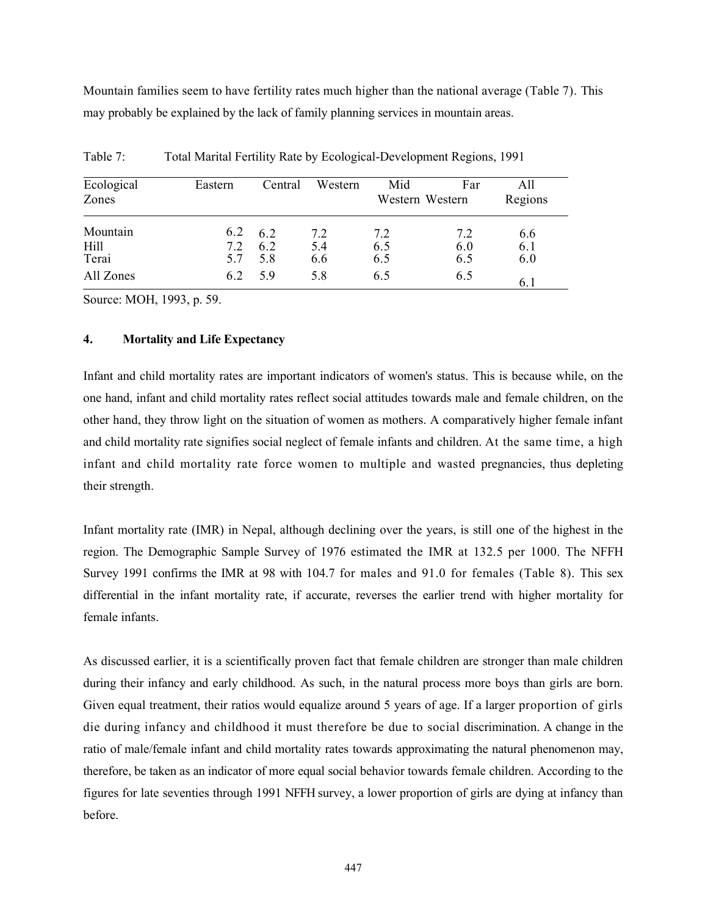Mountain families seem to have fertility rates much higher than the national average (Table 7). This may probably be explained by the lack of family planning services in mountain areas.

| Ecological<br>Zones       | Eastern           | Central           | Western           | Mid<br>Western Western | Far               | All<br>Regions    |
|---------------------------|-------------------|-------------------|-------------------|------------------------|-------------------|-------------------|
| Mountain<br>Hill<br>Terai | 6.2<br>7.2<br>5.7 | 6.2<br>6.2<br>5.8 | 7.2<br>5.4<br>6.6 | 7.2<br>6.5<br>6.5      | 7.2<br>6.0<br>6.5 | 6.6<br>6.1<br>6.0 |
| All Zones                 | 6.2               | 5.9               | 5.8               | 6.5                    | 6.5               | 6.1               |

Table 7: Total Marital Fertility Rate by Ecological-Development Regions, 1991

Source: MOH, 1993, p. 59.

#### 4. Mortality and Life Expectancy

Infant and child mortality rates are important indicators of women's status. This is because while, on the one hand, infant and child mortality rates reflect social attitudes towards male and female children, on the other hand, they throw light on the situation of women as mothers. A comparatively higher female infant and child mortality rate signifies social neglect of female infants and children. At the same time, a high infant and child mortality rate force women to multiple and wasted pregnancies, thus depleting their strength.

Infant mortality rate (IMR) in Nepal, although declining over the years, is still one of the highest in the region. The Demographic Sample Survey of 1976 estimated the IMR at 132.5 per 1000. The NFFH Survey 1991 confirms the IMR at 98 with 104.7 for males and 91.0 for females (Table 8). This sex differential in the infant mortality rate, if accurate, reverses the earlier trend with higher mortality for female infants.

As discussed earlier, it is a scientifically proven fact that female children are stronger than male children during their infancy and early childhood. As such, in the natural process more boys than girls are born. Given equal treatment, their ratios would equalize around 5 years of age. If a larger proportion of girls die during infancy and childhood it must therefore be due to social discrimination. A change in the ratio of male/female infant and child mortality rates towards approximating the natural phenomenon may, therefore, be taken as an indicator of more equal social behavior towards female children. According to the figures for late seventies through 1991 NFFH survey, a lower proportion of girls are dying at infancy than before.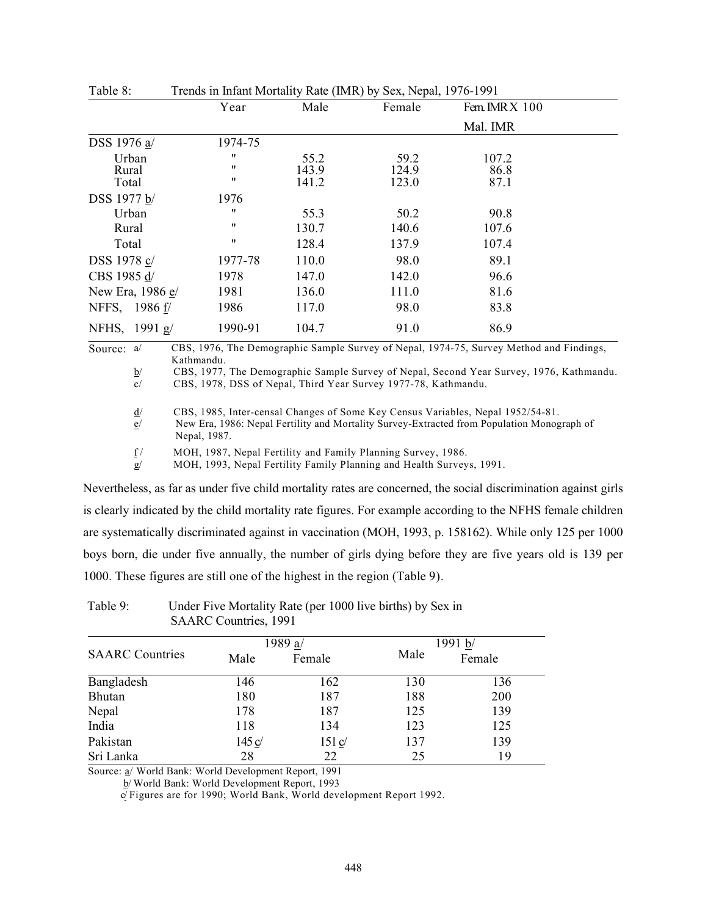|                         |                                                             | ----- (----- <i>--</i> - <i>- -</i> |                        |                       |  |
|-------------------------|-------------------------------------------------------------|-------------------------------------|------------------------|-----------------------|--|
|                         | Year                                                        | Male                                | Female                 | Fem. IMRX 100         |  |
|                         |                                                             |                                     |                        | Mal. IMR              |  |
| DSS 1976 a/             | 1974-75                                                     |                                     |                        |                       |  |
| Urban<br>Rural<br>Total | $^{\prime\prime}$<br>$^{\prime\prime}$<br>$^{\prime\prime}$ | 55.2<br>143.9<br>141.2              | 59.2<br>124.9<br>123.0 | 107.2<br>86.8<br>87.1 |  |
| DSS 1977 b/             | 1976                                                        |                                     |                        |                       |  |
| Urban                   | $^{\prime\prime}$                                           | 55.3                                | 50.2                   | 90.8                  |  |
| Rural                   | $^{\prime\prime}$                                           | 130.7                               | 140.6                  | 107.6                 |  |
| Total                   | $^{\prime\prime}$                                           | 128.4                               | 137.9                  | 107.4                 |  |
| DSS 1978 c/             | 1977-78                                                     | 110.0                               | 98.0                   | 89.1                  |  |
| CBS 1985 d/             | 1978                                                        | 147.0                               | 142.0                  | 96.6                  |  |
| New Era, 1986 e/        | 1981                                                        | 136.0                               | 111.0                  | 81.6                  |  |
| NFFS, 1986 f/           | 1986                                                        | 117.0                               | 98.0                   | 83.8                  |  |
| NFHS, 1991 g/           | 1990-91                                                     | 104.7                               | 91.0                   | 86.9                  |  |

| Table 8: |  |  | Trends in Infant Mortality Rate (IMR) by Sex, Nepal, 1976-1991 |
|----------|--|--|----------------------------------------------------------------|
|----------|--|--|----------------------------------------------------------------|

Source: a/ CBS, 1976, The Demographic Sample Survey of Nepal, 1974-75, Survey Method and Findings, Kathmandu.

 $\underline{b}$  CBS, 1977, The Demographic Sample Survey of Nepal, Second Year Survey, 1976, Kathmandu.<br>
CBS. 1978. DSS of Nepal. Third Year Survey 1977-78. Kathmandu. CBS, 1978, DSS of Nepal, Third Year Survey 1977-78, Kathmandu.

d/ CBS, 1985, Inter-censal Changes of Some Key Census Variables, Nepal 1952/54-81.

e/ New Era, 1986: Nepal Fertility and Mortality Survey-Extracted from Population Monograph of Nepal, 1987.

 $f$  MOH, 1987, Nepal Fertility and Family Planning Survey, 1986.

g/ MOH, 1993, Nepal Fertility Family Planning and Health Surveys, 1991.

Nevertheless, as far as under five child mortality rates are concerned, the social discrimination against girls is clearly indicated by the child mortality rate figures. For example according to the NFHS female children are systematically discriminated against in vaccination (MOH, 1993, p. 158162). While only 125 per 1000 boys born, die under five annually, the number of girls dying before they are five years old is 139 per 1000. These figures are still one of the highest in the region (Table 9).

|                        |        | 1989 a/                    |      | 1991 b/ |
|------------------------|--------|----------------------------|------|---------|
| <b>SAARC</b> Countries | Male   | Female                     | Male | Female  |
| Bangladesh             | 146    | 162                        | 130  | 136     |
| Bhutan                 | 180    | 187                        | 188  | 200     |
| Nepal                  | 178    | 187                        | 125  | 139     |
| India                  | 118    | 134                        | 123  | 125     |
| Pakistan               | 145 c/ | $151 \underline{\text{c}}$ | 137  | 139     |
| Sri Lanka              | 28     | 22                         | 25   | 19      |

## Table 9: Under Five Mortality Rate (per 1000 live births) by Sex in SAARC Countries, 1991

Source: a/ World Bank: World Development Report, 1991

b/ World Bank: World Development Report, 1993

c/ Figures are for 1990; World Bank, World development Report 1992.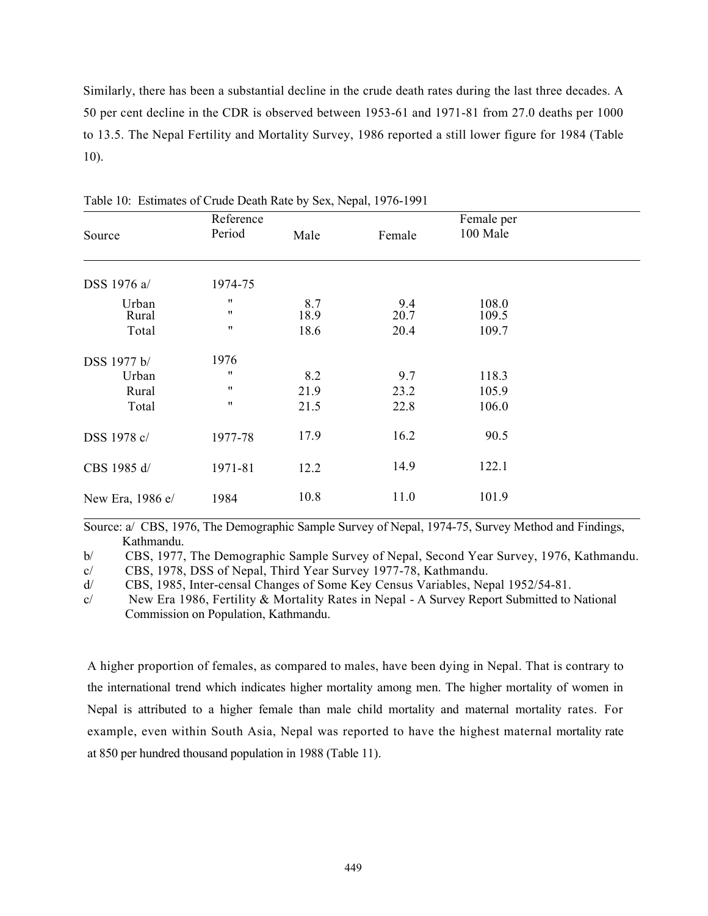Similarly, there has been a substantial decline in the crude death rates during the last three decades. A 50 per cent decline in the CDR is observed between 1953-61 and 1971-81 from 27.0 deaths per 1000 to 13.5. The Nepal Fertility and Mortality Survey, 1986 reported a still lower figure for 1984 (Table 10).

| Source           | Reference<br>Period | Male        | Female      | Female per<br>100 Male |  |
|------------------|---------------------|-------------|-------------|------------------------|--|
|                  |                     |             |             |                        |  |
| DSS 1976 a/      | 1974-75             |             |             |                        |  |
| Urban<br>Rural   | 11<br>11            | 8.7<br>18.9 | 9.4<br>20.7 | 108.0<br>109.5         |  |
| Total            | 11                  | 18.6        | 20.4        | 109.7                  |  |
| DSS 1977 b/      | 1976                |             |             |                        |  |
| Urban            | 11                  | 8.2         | 9.7         | 118.3                  |  |
| Rural            | 11                  | 21.9        | 23.2        | 105.9                  |  |
| Total            | 11                  | 21.5        | 22.8        | 106.0                  |  |
| DSS 1978 c/      | 1977-78             | 17.9        | 16.2        | 90.5                   |  |
| CBS 1985 d/      | 1971-81             | 12.2        | 14.9        | 122.1                  |  |
| New Era, 1986 e/ | 1984                | 10.8        | 11.0        | 101.9                  |  |

Table 10: Estimates of Crude Death Rate by Sex, Nepal, 1976-1991

Source: a/ CBS, 1976, The Demographic Sample Survey of Nepal, 1974-75, Survey Method and Findings, Kathmandu.

b/ CBS, 1977, The Demographic Sample Survey of Nepal, Second Year Survey, 1976, Kathmandu.

c/ CBS, 1978, DSS of Nepal, Third Year Survey 1977-78, Kathmandu.

d/ CBS, 1985, Inter-censal Changes of Some Key Census Variables, Nepal 1952/54-81.

c/ New Era 1986, Fertility & Mortality Rates in Nepal - A Survey Report Submitted to National Commission on Population, Kathmandu.

A higher proportion of females, as compared to males, have been dying in Nepal. That is contrary to the international trend which indicates higher mortality among men. The higher mortality of women in Nepal is attributed to a higher female than male child mortality and maternal mortality rates. For example, even within South Asia, Nepal was reported to have the highest maternal mortality rate at 850 per hundred thousand population in 1988 (Table 11).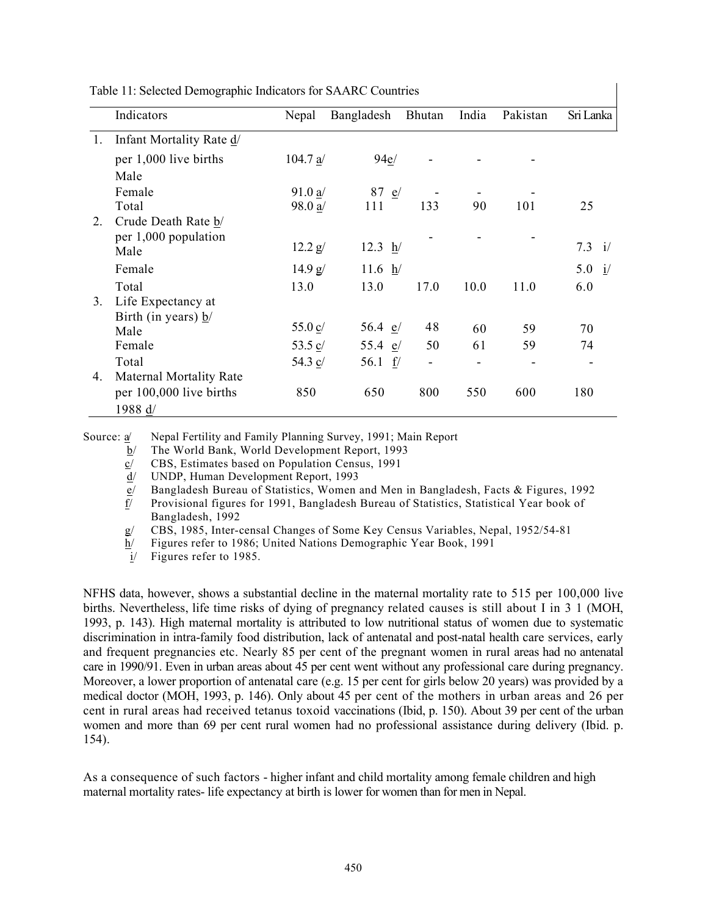|    | Indicators                     | Nepal              | Bangladesh       | Bhutan | India | Pakistan | Sri Lanka |
|----|--------------------------------|--------------------|------------------|--------|-------|----------|-----------|
| 1. | Infant Mortality Rate d/       |                    |                  |        |       |          |           |
|    | per 1,000 live births          | 104.7 a/           | 94e/             |        |       |          |           |
|    | Male                           |                    |                  |        |       |          |           |
|    | Female                         | 91.0 a/            | 87 $e/$          |        |       |          |           |
|    | Total                          | 98.0 a/            | 111              | 133    | 90    | 101      | 25        |
| 2. | Crude Death Rate b/            |                    |                  |        |       |          |           |
|    | per $1,000$ population         |                    |                  |        |       |          |           |
|    | Male                           | 12.2 g/            | $12.3 \text{ h}$ |        |       |          | 7.3 i/    |
|    | Female                         | 14.9 g/            | 11.6 $h/$        |        |       |          | 5.0 i/    |
|    | Total                          | 13.0               | 13.0             | 17.0   | 10.0  | 11.0     | 6.0       |
| 3. | Life Expectancy at             |                    |                  |        |       |          |           |
|    | Birth (in years) $b/$          |                    |                  |        |       |          |           |
|    | Male                           | 55.0 $\frac{c}{2}$ | 56.4 $e$ /       | 48     | 60    | 59       | 70        |
|    | Female                         | 53.5 $c/$          | 55.4 $e/$        | 50     | 61    | 59       | 74        |
|    | Total                          | 54.3 c/            | 56.1 $f$         | -      |       |          |           |
| 4. | <b>Maternal Mortality Rate</b> |                    |                  |        |       |          |           |
|    | per 100,000 live births        | 850                | 650              | 800    | 550   | 600      | 180       |
|    | 1988 d/                        |                    |                  |        |       |          |           |

 $\mathbf{I}$ 

Table 11: Selected Demographic Indicators for SAARC Countries

Source: a Nepal Fertility and Family Planning Survey, 1991; Main Report

b/ The World Bank, World Development Report, 1993

 $c/$  CBS, Estimates based on Population Census, 1991

d/ UNDP, Human Development Report, 1993

e/ Bangladesh Bureau of Statistics, Women and Men in Bangladesh, Facts & Figures, 1992

f/ Provisional figures for 1991, Bangladesh Bureau of Statistics, Statistical Year book of Bangladesh, 1992

g/ CBS, 1985, Inter-censal Changes of Some Key Census Variables, Nepal, 1952/54-81

h/ Figures refer to 1986; United Nations Demographic Year Book, 1991

i/ Figures refer to 1985.

NFHS data, however, shows a substantial decline in the maternal mortality rate to 515 per 100,000 live births. Nevertheless, life time risks of dying of pregnancy related causes is still about I in 3 1 (MOH, 1993, p. 143). High maternal mortality is attributed to low nutritional status of women due to systematic discrimination in intra-family food distribution, lack of antenatal and post-natal health care services, early and frequent pregnancies etc. Nearly 85 per cent of the pregnant women in rural areas had no antenatal care in 1990/91. Even in urban areas about 45 per cent went without any professional care during pregnancy. Moreover, a lower proportion of antenatal care (e.g. 15 per cent for girls below 20 years) was provided by a medical doctor (MOH, 1993, p. 146). Only about 45 per cent of the mothers in urban areas and 26 per cent in rural areas had received tetanus toxoid vaccinations (Ibid, p. 150). About 39 per cent of the urban women and more than 69 per cent rural women had no professional assistance during delivery (Ibid. p. 154).

As a consequence of such factors - higher infant and child mortality among female children and high maternal mortality rates- life expectancy at birth is lower for women than for men in Nepal.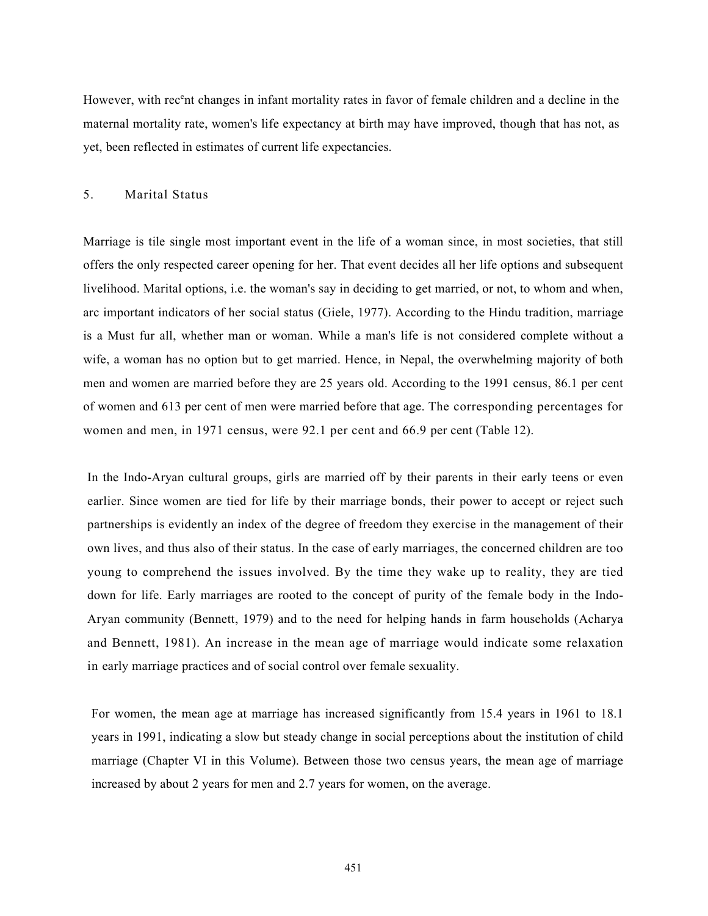However, with rec<sup>e</sup>nt changes in infant mortality rates in favor of female children and a decline in the maternal mortality rate, women's life expectancy at birth may have improved, though that has not, as yet, been reflected in estimates of current life expectancies.

# 5. Marital Status

Marriage is tile single most important event in the life of a woman since, in most societies, that still offers the only respected career opening for her. That event decides all her life options and subsequent livelihood. Marital options, i.e. the woman's say in deciding to get married, or not, to whom and when, arc important indicators of her social status (Giele, 1977). According to the Hindu tradition, marriage is a Must fur all, whether man or woman. While a man's life is not considered complete without a wife, a woman has no option but to get married. Hence, in Nepal, the overwhelming majority of both men and women are married before they are 25 years old. According to the 1991 census, 86.1 per cent of women and 613 per cent of men were married before that age. The corresponding percentages for women and men, in 1971 census, were 92.1 per cent and 66.9 per cent (Table 12).

In the Indo-Aryan cultural groups, girls are married off by their parents in their early teens or even earlier. Since women are tied for life by their marriage bonds, their power to accept or reject such partnerships is evidently an index of the degree of freedom they exercise in the management of their own lives, and thus also of their status. In the case of early marriages, the concerned children are too young to comprehend the issues involved. By the time they wake up to reality, they are tied down for life. Early marriages are rooted to the concept of purity of the female body in the Indo-Aryan community (Bennett, 1979) and to the need for helping hands in farm households (Acharya and Bennett, 1981). An increase in the mean age of marriage would indicate some relaxation in early marriage practices and of social control over female sexuality.

For women, the mean age at marriage has increased significantly from 15.4 years in 1961 to 18.1 years in 1991, indicating a slow but steady change in social perceptions about the institution of child marriage (Chapter VI in this Volume). Between those two census years, the mean age of marriage increased by about 2 years for men and 2.7 years for women, on the average.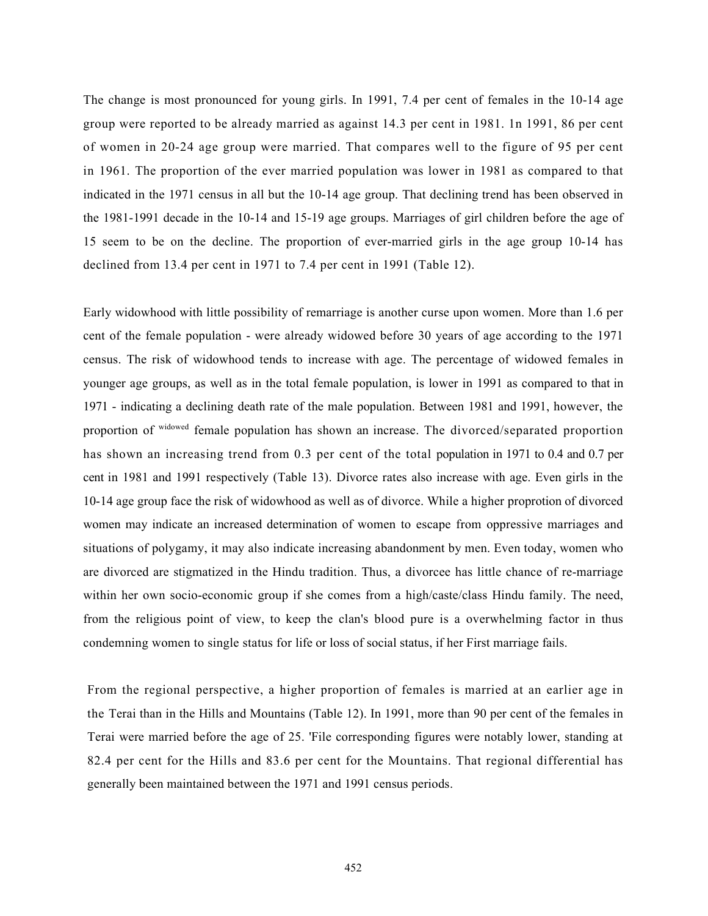The change is most pronounced for young girls. In 1991, 7.4 per cent of females in the 10-14 age group were reported to be already married as against 14.3 per cent in 1981. 1n 1991, 86 per cent of women in 20-24 age group were married. That compares well to the figure of 95 per cent in 1961. The proportion of the ever married population was lower in 1981 as compared to that indicated in the 1971 census in all but the 10-14 age group. That declining trend has been observed in the 1981-1991 decade in the 10-14 and 15-19 age groups. Marriages of girl children before the age of 15 seem to be on the decline. The proportion of ever-married girls in the age group 10-14 has declined from 13.4 per cent in 1971 to 7.4 per cent in 1991 (Table 12).

Early widowhood with little possibility of remarriage is another curse upon women. More than 1.6 per cent of the female population - were already widowed before 30 years of age according to the 1971 census. The risk of widowhood tends to increase with age. The percentage of widowed females in younger age groups, as well as in the total female population, is lower in 1991 as compared to that in 1971 - indicating a declining death rate of the male population. Between 1981 and 1991, however, the proportion of widowed female population has shown an increase. The divorced/separated proportion has shown an increasing trend from 0.3 per cent of the total population in 1971 to 0.4 and 0.7 per cent in 1981 and 1991 respectively (Table 13). Divorce rates also increase with age. Even girls in the 10-14 age group face the risk of widowhood as well as of divorce. While a higher proprotion of divorced women may indicate an increased determination of women to escape from oppressive marriages and situations of polygamy, it may also indicate increasing abandonment by men. Even today, women who are divorced are stigmatized in the Hindu tradition. Thus, a divorcee has little chance of re-marriage within her own socio-economic group if she comes from a high/caste/class Hindu family. The need, from the religious point of view, to keep the clan's blood pure is a overwhelming factor in thus condemning women to single status for life or loss of social status, if her First marriage fails.

From the regional perspective, a higher proportion of females is married at an earlier age in the Terai than in the Hills and Mountains (Table 12). In 1991, more than 90 per cent of the females in Terai were married before the age of 25. 'File corresponding figures were notably lower, standing at 82.4 per cent for the Hills and 83.6 per cent for the Mountains. That regional differential has generally been maintained between the 1971 and 1991 census periods.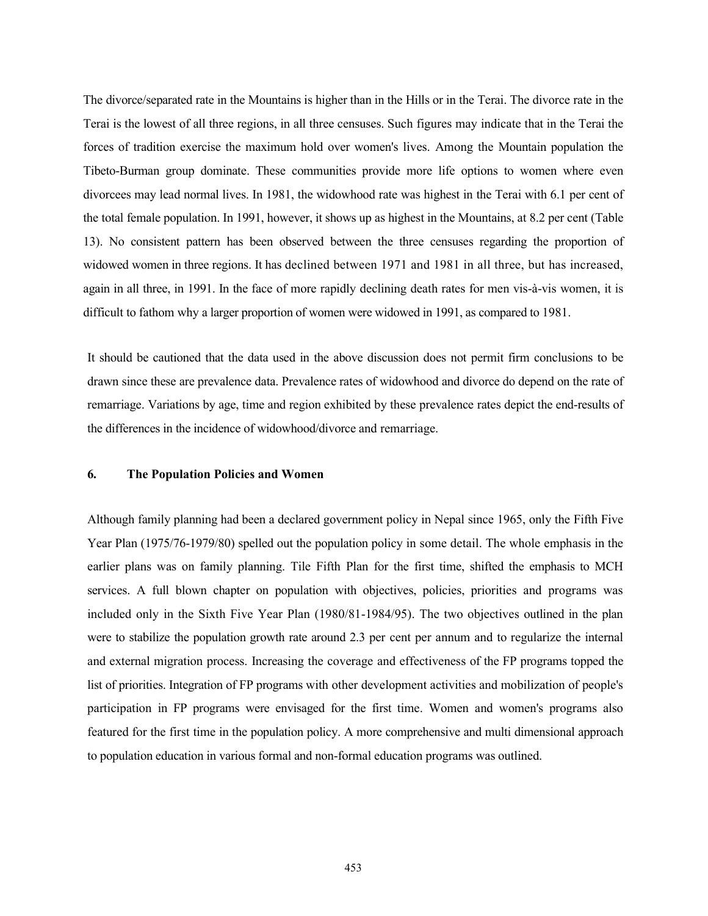The divorce/separated rate in the Mountains is higher than in the Hills or in the Terai. The divorce rate in the Terai is the lowest of all three regions, in all three censuses. Such figures may indicate that in the Terai the forces of tradition exercise the maximum hold over women's lives. Among the Mountain population the Tibeto-Burman group dominate. These communities provide more life options to women where even divorcees may lead normal lives. In 1981, the widowhood rate was highest in the Terai with 6.1 per cent of the total female population. In 1991, however, it shows up as highest in the Mountains, at 8.2 per cent (Table 13). No consistent pattern has been observed between the three censuses regarding the proportion of widowed women in three regions. It has declined between 1971 and 1981 in all three, but has increased, again in all three, in 1991. In the face of more rapidly declining death rates for men vis-à-vis women, it is difficult to fathom why a larger proportion of women were widowed in 1991, as compared to 1981.

It should be cautioned that the data used in the above discussion does not permit firm conclusions to be drawn since these are prevalence data. Prevalence rates of widowhood and divorce do depend on the rate of remarriage. Variations by age, time and region exhibited by these prevalence rates depict the end-results of the differences in the incidence of widowhood/divorce and remarriage.

# 6. The Population Policies and Women

Although family planning had been a declared government policy in Nepal since 1965, only the Fifth Five Year Plan (1975/76-1979/80) spelled out the population policy in some detail. The whole emphasis in the earlier plans was on family planning. Tile Fifth Plan for the first time, shifted the emphasis to MCH services. A full blown chapter on population with objectives, policies, priorities and programs was included only in the Sixth Five Year Plan (1980/81-1984/95). The two objectives outlined in the plan were to stabilize the population growth rate around 2.3 per cent per annum and to regularize the internal and external migration process. Increasing the coverage and effectiveness of the FP programs topped the list of priorities. Integration of FP programs with other development activities and mobilization of people's participation in FP programs were envisaged for the first time. Women and women's programs also featured for the first time in the population policy. A more comprehensive and multi dimensional approach to population education in various formal and non-formal education programs was outlined.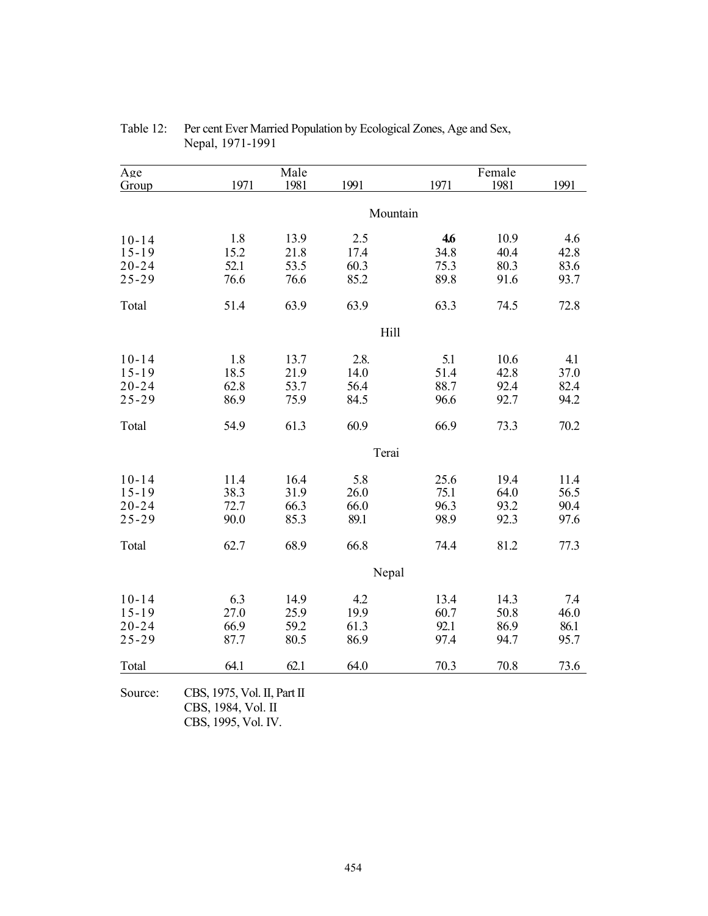| Age       |                                                                          | Male |          |      | Female |      |
|-----------|--------------------------------------------------------------------------|------|----------|------|--------|------|
| Group     | 1971                                                                     | 1981 | 1991     | 1971 | 1981   | 1991 |
|           |                                                                          |      |          |      |        |      |
|           |                                                                          |      | Mountain |      |        |      |
| $10 - 14$ | 1.8                                                                      | 13.9 | 2.5      | 4.6  | 10.9   | 4.6  |
| $15 - 19$ | 15.2                                                                     | 21.8 | 17.4     | 34.8 | 40.4   | 42.8 |
| $20 - 24$ | 52.1                                                                     | 53.5 | 60.3     | 75.3 | 80.3   | 83.6 |
| $25 - 29$ | 76.6                                                                     | 76.6 | 85.2     | 89.8 | 91.6   | 93.7 |
| Total     | 51.4                                                                     | 63.9 | 63.9     | 63.3 | 74.5   | 72.8 |
|           |                                                                          |      | Hill     |      |        |      |
| $10 - 14$ | 1.8                                                                      | 13.7 | 2.8.     | 5.1  | 10.6   | 4.1  |
| $15 - 19$ | 18.5                                                                     | 21.9 | 14.0     | 51.4 | 42.8   | 37.0 |
| $20 - 24$ | 62.8                                                                     | 53.7 | 56.4     | 88.7 | 92.4   | 82.4 |
| $25 - 29$ | 86.9                                                                     | 75.9 | 84.5     | 96.6 | 92.7   | 94.2 |
| Total     | 54.9                                                                     | 61.3 | 60.9     | 66.9 | 73.3   | 70.2 |
|           |                                                                          |      | Terai    |      |        |      |
| $10 - 14$ | 11.4                                                                     | 16.4 | 5.8      | 25.6 | 19.4   | 11.4 |
| $15 - 19$ | 38.3                                                                     | 31.9 | 26.0     | 75.1 | 64.0   | 56.5 |
| $20 - 24$ | 72.7                                                                     | 66.3 | 66.0     | 96.3 | 93.2   | 90.4 |
| $25 - 29$ | 90.0                                                                     | 85.3 | 89.1     | 98.9 | 92.3   | 97.6 |
| Total     | 62.7                                                                     | 68.9 | 66.8     | 74.4 | 81.2   | 77.3 |
|           |                                                                          |      | Nepal    |      |        |      |
| $10 - 14$ | 6.3                                                                      | 14.9 | 4.2      | 13.4 | 14.3   | 7.4  |
| $15 - 19$ | 27.0                                                                     | 25.9 | 19.9     | 60.7 | 50.8   | 46.0 |
| $20 - 24$ | 66.9                                                                     | 59.2 | 61.3     | 92.1 | 86.9   | 86.1 |
| $25 - 29$ | 87.7                                                                     | 80.5 | 86.9     | 97.4 | 94.7   | 95.7 |
| Total     | 64.1                                                                     | 62.1 | 64.0     | 70.3 | 70.8   | 73.6 |
| Source:   | CBS, 1975, Vol. II, Part II<br>CBS, 1984, Vol. II<br>CBS, 1995, Vol. IV. |      |          |      |        |      |

Table 12: Per cent Ever Married Population by Ecological Zones, Age and Sex, Nepal, 1971-1991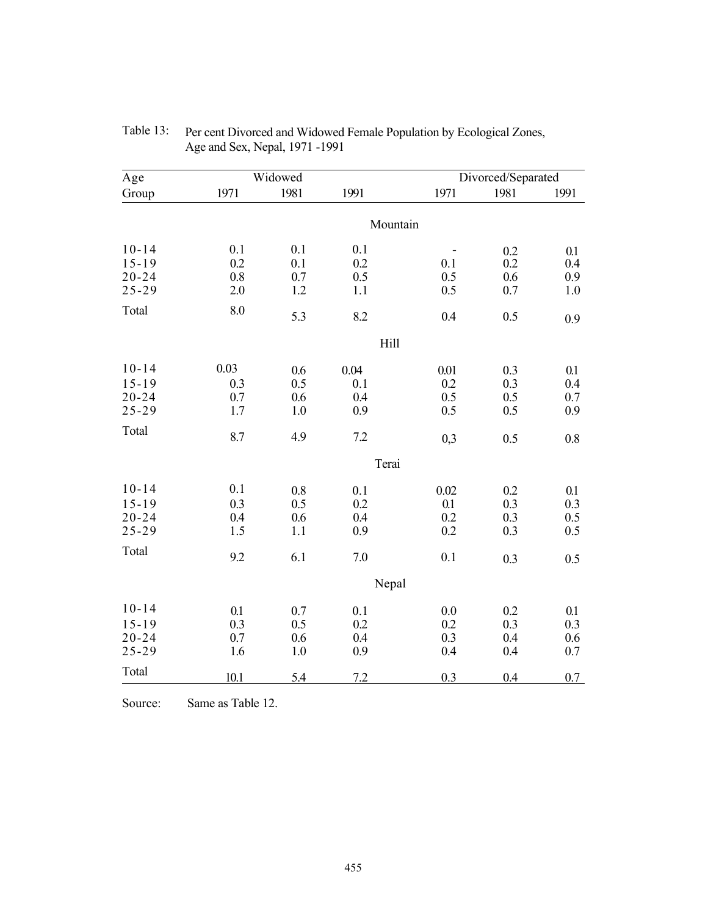| Age                                              |                           | Widowed                      |                           |                           | Divorced/Separated       |                          |
|--------------------------------------------------|---------------------------|------------------------------|---------------------------|---------------------------|--------------------------|--------------------------|
| Group                                            | 1971                      | 1981                         | 1991                      | 1971                      | 1981                     | 1991                     |
|                                                  |                           |                              | Mountain                  |                           |                          |                          |
| $10 - 14$<br>$15 - 19$                           | 0.1<br>0.2                | 0.1<br>0.1                   | 0.1<br>0.2                | 0.1                       | 0.2<br>0.2               | 0.1<br>0.4               |
| $20 - 24$<br>$25 - 29$                           | 0.8<br>2.0                | 0.7<br>1.2                   | 0.5<br>1.1                | 0.5<br>0.5                | 0.6<br>0.7               | 0.9<br>1.0               |
| Total                                            | 8.0                       | 5.3                          | 8.2                       | 0.4                       | 0.5                      | 0.9                      |
|                                                  |                           |                              | Hill                      |                           |                          |                          |
| $10 - 14$<br>$15 - 19$<br>$20 - 24$<br>$25 - 29$ | 0.03<br>0.3<br>0.7<br>1.7 | 0.6<br>0.5<br>0.6<br>$1.0\,$ | 0.04<br>0.1<br>0.4<br>0.9 | 0.01<br>0.2<br>0.5<br>0.5 | 0.3<br>0.3<br>0.5<br>0.5 | 0.1<br>0.4<br>0.7<br>0.9 |
| Total                                            | 8.7                       | 4.9                          | 7.2                       | 0,3                       | 0.5                      | 0.8                      |
|                                                  |                           |                              | Terai                     |                           |                          |                          |
| $10 - 14$<br>$15 - 19$<br>$20 - 24$<br>$25 - 29$ | 0.1<br>0.3<br>0.4<br>1.5  | 0.8<br>0.5<br>0.6<br>1.1     | 0.1<br>0.2<br>0.4<br>0.9  | 0.02<br>0.1<br>0.2<br>0.2 | 0.2<br>0.3<br>0.3<br>0.3 | 0.1<br>0.3<br>0.5<br>0.5 |
| Total                                            | 9.2                       | 6.1                          | 7.0                       | 0.1                       | 0.3                      | 0.5                      |
|                                                  |                           |                              | Nepal                     |                           |                          |                          |
| $10 - 14$<br>$15 - 19$<br>$20 - 24$<br>$25 - 29$ | 0.1<br>0.3<br>0.7<br>1.6  | 0.7<br>0.5<br>0.6<br>1.0     | 0.1<br>0.2<br>0.4<br>0.9  | 0.0<br>0.2<br>0.3<br>0.4  | 0.2<br>0.3<br>0.4<br>0.4 | 0.1<br>0.3<br>0.6<br>0.7 |
| Total                                            | 10.1                      | 5.4                          | 7.2                       | 0.3                       | 0.4                      | 0.7                      |

| Table 13: Per cent Divorced and Widowed Female Population by Ecological Zones, |
|--------------------------------------------------------------------------------|
| Age and Sex, Nepal, 1971 -1991                                                 |

Source: Same as Table 12.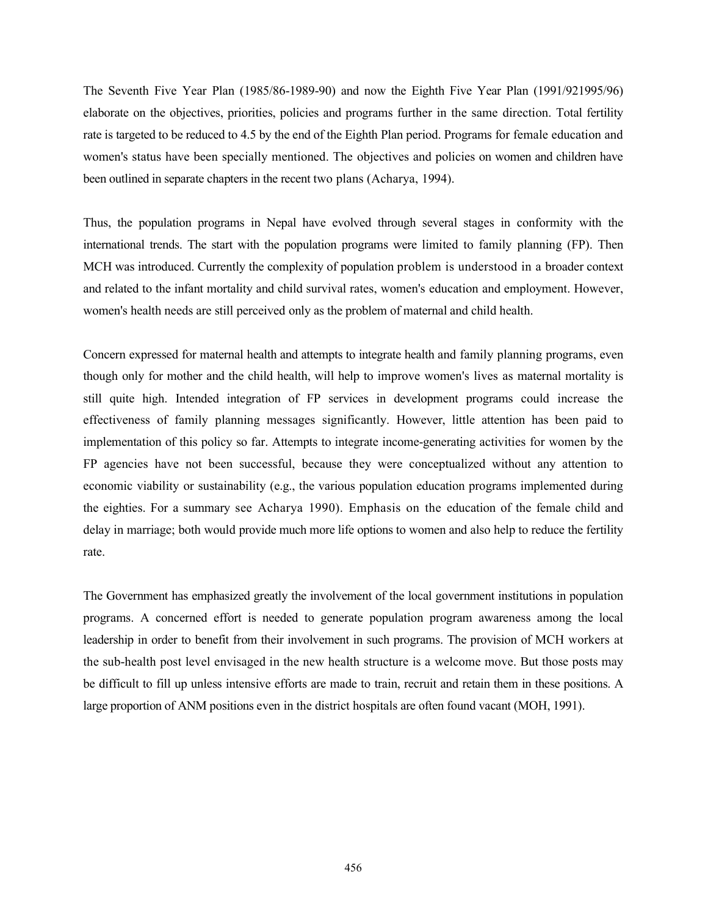The Seventh Five Year Plan (1985/86-1989-90) and now the Eighth Five Year Plan (1991/921995/96) elaborate on the objectives, priorities, policies and programs further in the same direction. Total fertility rate is targeted to be reduced to 4.5 by the end of the Eighth Plan period. Programs for female education and women's status have been specially mentioned. The objectives and policies on women and children have been outlined in separate chapters in the recent two plans (Acharya, 1994).

Thus, the population programs in Nepal have evolved through several stages in conformity with the international trends. The start with the population programs were limited to family planning (FP). Then MCH was introduced. Currently the complexity of population problem is understood in a broader context and related to the infant mortality and child survival rates, women's education and employment. However, women's health needs are still perceived only as the problem of maternal and child health.

Concern expressed for maternal health and attempts to integrate health and family planning programs, even though only for mother and the child health, will help to improve women's lives as maternal mortality is still quite high. Intended integration of FP services in development programs could increase the effectiveness of family planning messages significantly. However, little attention has been paid to implementation of this policy so far. Attempts to integrate income-generating activities for women by the FP agencies have not been successful, because they were conceptualized without any attention to economic viability or sustainability (e.g., the various population education programs implemented during the eighties. For a summary see Acharya 1990). Emphasis on the education of the female child and delay in marriage; both would provide much more life options to women and also help to reduce the fertility rate.

The Government has emphasized greatly the involvement of the local government institutions in population programs. A concerned effort is needed to generate population program awareness among the local leadership in order to benefit from their involvement in such programs. The provision of MCH workers at the sub-health post level envisaged in the new health structure is a welcome move. But those posts may be difficult to fill up unless intensive efforts are made to train, recruit and retain them in these positions. A large proportion of ANM positions even in the district hospitals are often found vacant (MOH, 1991).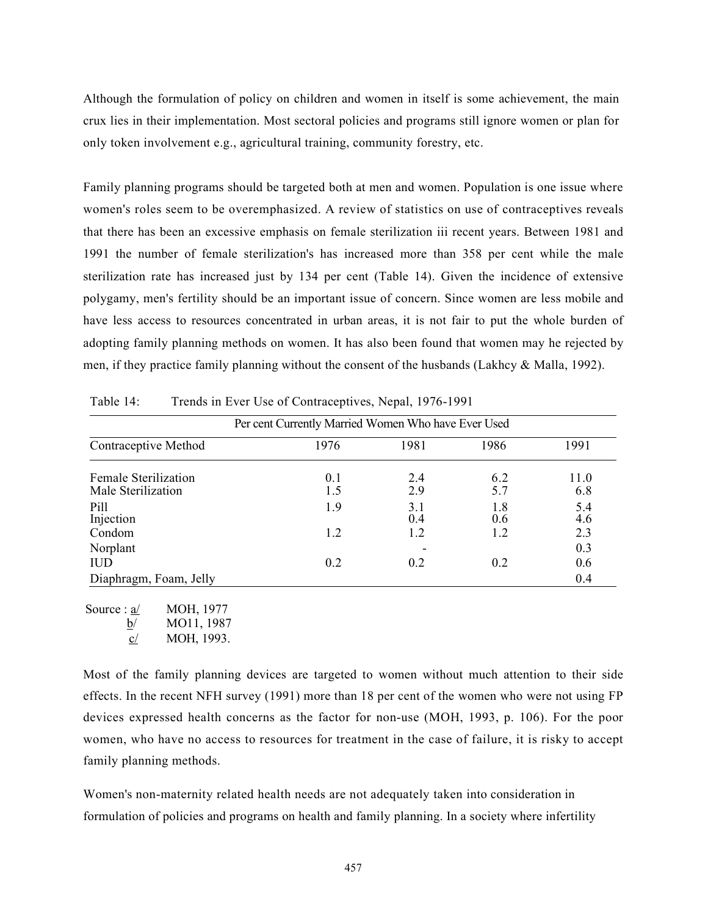Although the formulation of policy on children and women in itself is some achievement, the main crux lies in their implementation. Most sectoral policies and programs still ignore women or plan for only token involvement e.g., agricultural training, community forestry, etc.

Family planning programs should be targeted both at men and women. Population is one issue where women's roles seem to be overemphasized. A review of statistics on use of contraceptives reveals that there has been an excessive emphasis on female sterilization iii recent years. Between 1981 and 1991 the number of female sterilization's has increased more than 358 per cent while the male sterilization rate has increased just by 134 per cent (Table 14). Given the incidence of extensive polygamy, men's fertility should be an important issue of concern. Since women are less mobile and have less access to resources concentrated in urban areas, it is not fair to put the whole burden of adopting family planning methods on women. It has also been found that women may he rejected by men, if they practice family planning without the consent of the husbands (Lakhcy & Malla, 1992).

|                                            | Per cent Currently Married Women Who have Ever Used |            |            |             |  |  |  |
|--------------------------------------------|-----------------------------------------------------|------------|------------|-------------|--|--|--|
| Contraceptive Method                       | 1976                                                | 1981       | 1986       | 1991        |  |  |  |
| Female Sterilization<br>Male Sterilization | 0.1<br>1.5                                          | 2.4<br>2.9 | 6.2<br>5.7 | 11.0<br>6.8 |  |  |  |
| Pill<br>Injection                          | 1.9                                                 | 3.1<br>0.4 | 1.8<br>0.6 | 5.4<br>4.6  |  |  |  |
| Condom                                     | 1.2                                                 | 1.2        | 1.2        | 2.3         |  |  |  |
| Norplant                                   |                                                     |            |            | 0.3         |  |  |  |
| <b>IUD</b>                                 | 0.2                                                 | 0.2        | 0.2        | 0.6         |  |  |  |
| Diaphragm, Foam, Jelly                     |                                                     |            |            | 0.4         |  |  |  |

Table 14: Trends in Ever Use of Contraceptives, Nepal, 1976-1991

Source : a/ MOH, 1977  $b/$  MO11, 1987 c/ MOH, 1993.

Most of the family planning devices are targeted to women without much attention to their side effects. In the recent NFH survey (1991) more than 18 per cent of the women who were not using FP devices expressed health concerns as the factor for non-use (MOH, 1993, p. 106). For the poor women, who have no access to resources for treatment in the case of failure, it is risky to accept family planning methods.

Women's non-maternity related health needs are not adequately taken into consideration in formulation of policies and programs on health and family planning. In a society where infertility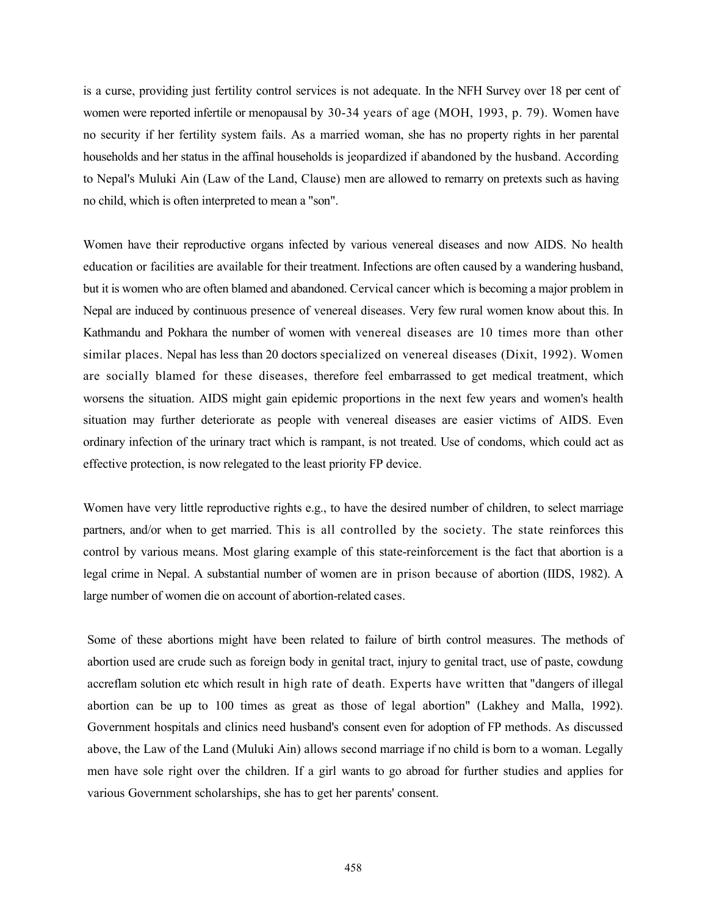is a curse, providing just fertility control services is not adequate. In the NFH Survey over 18 per cent of women were reported infertile or menopausal by 30-34 years of age (MOH, 1993, p. 79). Women have no security if her fertility system fails. As a married woman, she has no property rights in her parental households and her status in the affinal households is jeopardized if abandoned by the husband. According to Nepal's Muluki Ain (Law of the Land, Clause) men are allowed to remarry on pretexts such as having no child, which is often interpreted to mean a "son".

Women have their reproductive organs infected by various venereal diseases and now AIDS. No health education or facilities are available for their treatment. Infections are often caused by a wandering husband, but it is women who are often blamed and abandoned. Cervical cancer which is becoming a major problem in Nepal are induced by continuous presence of venereal diseases. Very few rural women know about this. In Kathmandu and Pokhara the number of women with venereal diseases are 10 times more than other similar places. Nepal has less than 20 doctors specialized on venereal diseases (Dixit, 1992). Women are socially blamed for these diseases, therefore feel embarrassed to get medical treatment, which worsens the situation. AIDS might gain epidemic proportions in the next few years and women's health situation may further deteriorate as people with venereal diseases are easier victims of AIDS. Even ordinary infection of the urinary tract which is rampant, is not treated. Use of condoms, which could act as effective protection, is now relegated to the least priority FP device.

Women have very little reproductive rights e.g., to have the desired number of children, to select marriage partners, and/or when to get married. This is all controlled by the society. The state reinforces this control by various means. Most glaring example of this state-reinforcement is the fact that abortion is a legal crime in Nepal. A substantial number of women are in prison because of abortion (IIDS, 1982). A large number of women die on account of abortion-related cases.

Some of these abortions might have been related to failure of birth control measures. The methods of abortion used are crude such as foreign body in genital tract, injury to genital tract, use of paste, cowdung accreflam solution etc which result in high rate of death. Experts have written that "dangers of illegal abortion can be up to 100 times as great as those of legal abortion" (Lakhey and Malla, 1992). Government hospitals and clinics need husband's consent even for adoption of FP methods. As discussed above, the Law of the Land (Muluki Ain) allows second marriage if no child is born to a woman. Legally men have sole right over the children. If a girl wants to go abroad for further studies and applies for various Government scholarships, she has to get her parents' consent.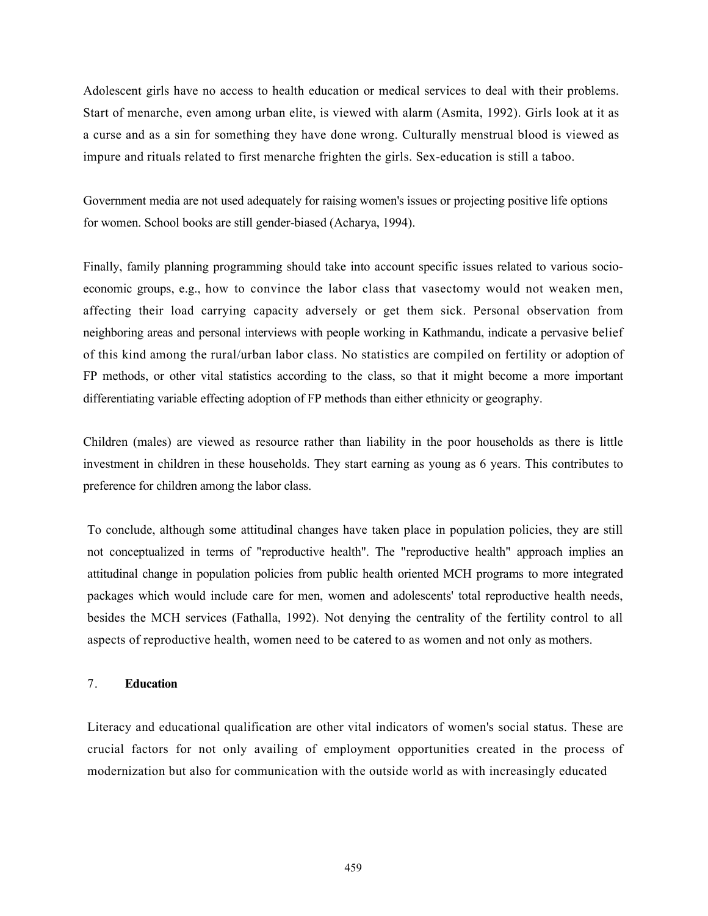Adolescent girls have no access to health education or medical services to deal with their problems. Start of menarche, even among urban elite, is viewed with alarm (Asmita, 1992). Girls look at it as a curse and as a sin for something they have done wrong. Culturally menstrual blood is viewed as impure and rituals related to first menarche frighten the girls. Sex-education is still a taboo.

Government media are not used adequately for raising women's issues or projecting positive life options for women. School books are still gender-biased (Acharya, 1994).

Finally, family planning programming should take into account specific issues related to various socioeconomic groups, e.g., how to convince the labor class that vasectomy would not weaken men, affecting their load carrying capacity adversely or get them sick. Personal observation from neighboring areas and personal interviews with people working in Kathmandu, indicate a pervasive belief of this kind among the rural/urban labor class. No statistics are compiled on fertility or adoption of FP methods, or other vital statistics according to the class, so that it might become a more important differentiating variable effecting adoption of FP methods than either ethnicity or geography.

Children (males) are viewed as resource rather than liability in the poor households as there is little investment in children in these households. They start earning as young as 6 years. This contributes to preference for children among the labor class.

To conclude, although some attitudinal changes have taken place in population policies, they are still not conceptualized in terms of "reproductive health". The "reproductive health" approach implies an attitudinal change in population policies from public health oriented MCH programs to more integrated packages which would include care for men, women and adolescents' total reproductive health needs, besides the MCH services (Fathalla, 1992). Not denying the centrality of the fertility control to all aspects of reproductive health, women need to be catered to as women and not only as mothers.

## 7. Education

Literacy and educational qualification are other vital indicators of women's social status. These are crucial factors for not only availing of employment opportunities created in the process of modernization but also for communication with the outside world as with increasingly educated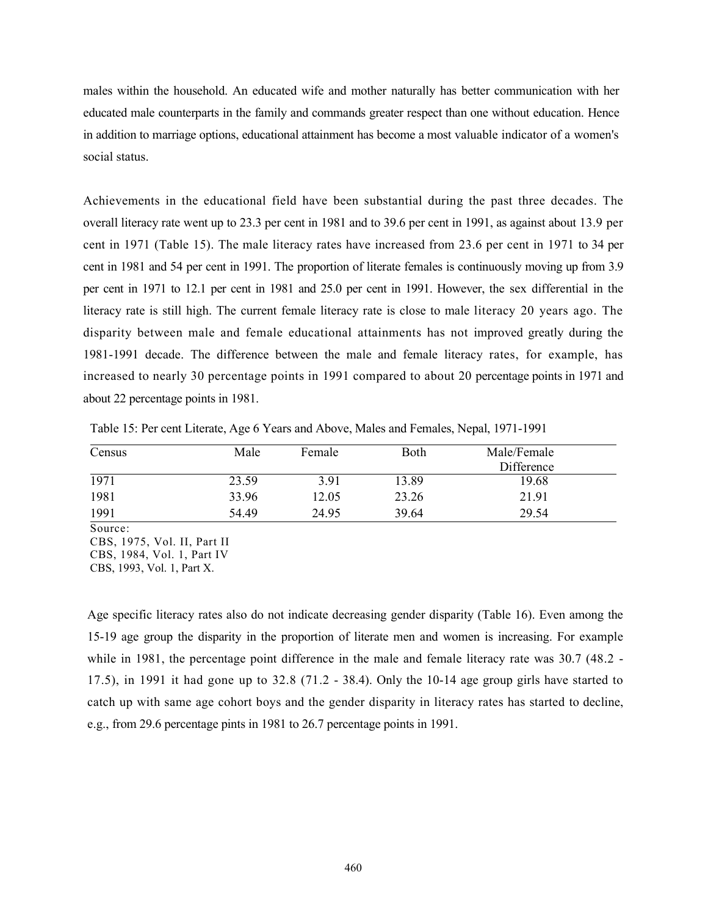males within the household. An educated wife and mother naturally has better communication with her educated male counterparts in the family and commands greater respect than one without education. Hence in addition to marriage options, educational attainment has become a most valuable indicator of a women's social status.

Achievements in the educational field have been substantial during the past three decades. The overall literacy rate went up to 23.3 per cent in 1981 and to 39.6 per cent in 1991, as against about 13.9 per cent in 1971 (Table 15). The male literacy rates have increased from 23.6 per cent in 1971 to 34 per cent in 1981 and 54 per cent in 1991. The proportion of literate females is continuously moving up from 3.9 per cent in 1971 to 12.1 per cent in 1981 and 25.0 per cent in 1991. However, the sex differential in the literacy rate is still high. The current female literacy rate is close to male literacy 20 years ago. The disparity between male and female educational attainments has not improved greatly during the 1981-1991 decade. The difference between the male and female literacy rates, for example, has increased to nearly 30 percentage points in 1991 compared to about 20 percentage points in 1971 and about 22 percentage points in 1981.

| Census | Male  | Female | Both  | Male/Female |  |
|--------|-------|--------|-------|-------------|--|
|        |       |        |       | Difference  |  |
| 1971   | 23.59 | 3.91   | 13.89 | 19.68       |  |
| 1981   | 33.96 | 12.05  | 23.26 | 21.91       |  |
| 1991   | 54.49 | 24.95  | 39.64 | 29.54       |  |

Table 15: Per cent Literate, Age 6 Years and Above, Males and Females, Nepal, 1971-1991

Source:

Age specific literacy rates also do not indicate decreasing gender disparity (Table 16). Even among the 15-19 age group the disparity in the proportion of literate men and women is increasing. For example while in 1981, the percentage point difference in the male and female literacy rate was 30.7 (48.2 -17.5), in 1991 it had gone up to 32.8 (71.2 - 38.4). Only the 10-14 age group girls have started to catch up with same age cohort boys and the gender disparity in literacy rates has started to decline, e.g., from 29.6 percentage pints in 1981 to 26.7 percentage points in 1991.

CBS, 1975, Vol. II, Part II

CBS, 1984, Vol. 1, Part IV

CBS, 1993, Vol. 1, Part X.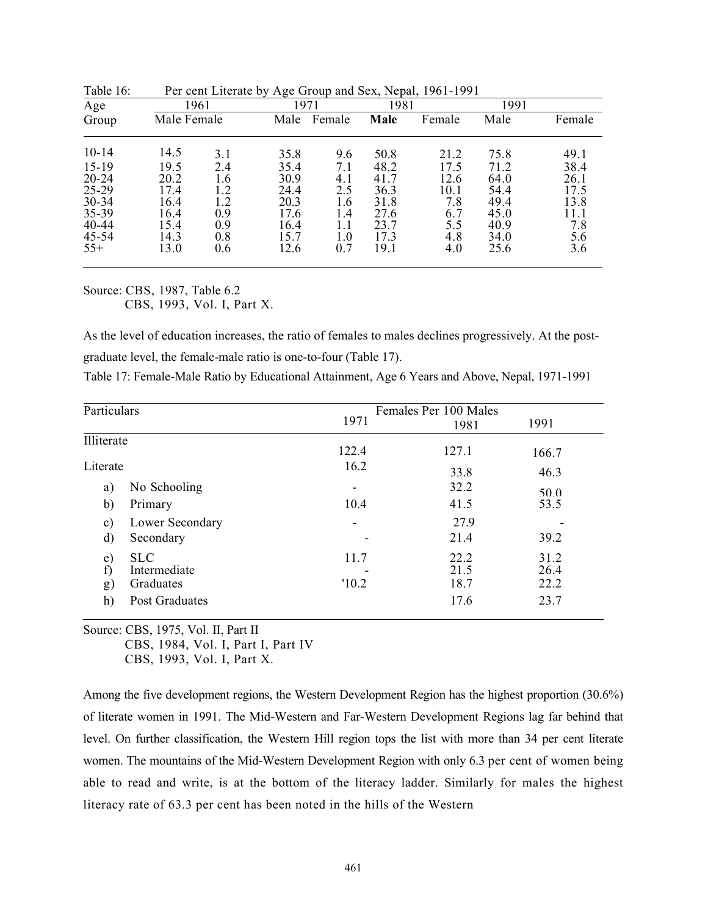| Age       |             | 1961 |      | 1971   | 1981 |        | 1991 |        |
|-----------|-------------|------|------|--------|------|--------|------|--------|
| Group     | Male Female |      | Male | Female | Male | Female | Male | Female |
| $10 - 14$ | 14.5        | 3.1  | 35.8 | 9.6    | 50.8 | 21.2   | 75.8 | 49.1   |
| $15-19$   | 19.5        | 2.4  | 35.4 | 7.1    | 48.2 | 17.5   | 71.2 | 38.4   |
| $20 - 24$ | 20.2        | 1.6  | 30.9 | 4.1    | 41.7 | 12.6   | 64.0 | 26.1   |
| 25-29     | 17.4        | 1.2  | 24.4 | 2.5    | 36.3 | 10.1   | 54.4 | 17.5   |
| $30 - 34$ | 16.4        | 1.2  | 20.3 | 1.6    | 31.8 | 7.8    | 49.4 | 13.8   |
| 35-39     | 16.4        | 0.9  | 17.6 | 1.4    | 27.6 | 6.7    | 45.0 | 11.1   |
| 40-44     | 15.4        | 0.9  | 16.4 | 1.1    | 23.7 | 5.5    | 40.9 | 7.8    |
| $45 - 54$ | 14.3        | 0.8  | 15.7 | 1.0    | 17.3 | 4.8    | 34.0 | 5.6    |
| $55+$     | 13.0        | 0.6  | 12.6 | 0.7    | 19.1 | 4.0    | 25.6 | 3.6    |

Table 16: Per cent Literate by Age Group and Sex, Nepal, 1961-1991

Source: CBS, 1987, Table 6.2 CBS, 1993, Vol. I, Part X.

As the level of education increases, the ratio of females to males declines progressively. At the postgraduate level, the female-male ratio is one-to-four (Table 17).

| Table 17: Female-Male Ratio by Educational Attainment, Age 6 Years and Above, Nepal, 1971-1991 |  |  |
|------------------------------------------------------------------------------------------------|--|--|
|                                                                                                |  |  |

| Particulars                    |                                                           |               | Females Per 100 Males        |                              |
|--------------------------------|-----------------------------------------------------------|---------------|------------------------------|------------------------------|
|                                |                                                           | 1971          | 1981                         | 1991                         |
| Illiterate                     |                                                           | 122.4         | 127.1                        | 166.7                        |
| Literate                       |                                                           | 16.2          | 33.8                         | 46.3                         |
| a)                             | No Schooling                                              | -             | 32.2                         | 50.0                         |
| b)                             | Primary                                                   | 10.4          | 41.5                         | 53.5                         |
| $\mathbf{c})$                  | Lower Secondary                                           |               | 27.9                         |                              |
| d)                             | Secondary                                                 |               | 21.4                         | 39.2                         |
| e)<br>f)<br>$\mathbf{g}$<br>h) | <b>SLC</b><br>Intermediate<br>Graduates<br>Post Graduates | 11.7<br>'10.2 | 22.2<br>21.5<br>18.7<br>17.6 | 31.2<br>26.4<br>22.2<br>23.7 |

Source: CBS, 1975, Vol. II, Part II

CBS, 1984, Vol. I, Part I, Part IV

CBS, 1993, Vol. I, Part X.

Among the five development regions, the Western Development Region has the highest proportion (30.6%) of literate women in 1991. The Mid-Western and Far-Western Development Regions lag far behind that level. On further classification, the Western Hill region tops the list with more than 34 per cent literate women. The mountains of the Mid-Western Development Region with only 6.3 per cent of women being able to read and write, is at the bottom of the literacy ladder. Similarly for males the highest literacy rate of 63.3 per cent has been noted in the hills of the Western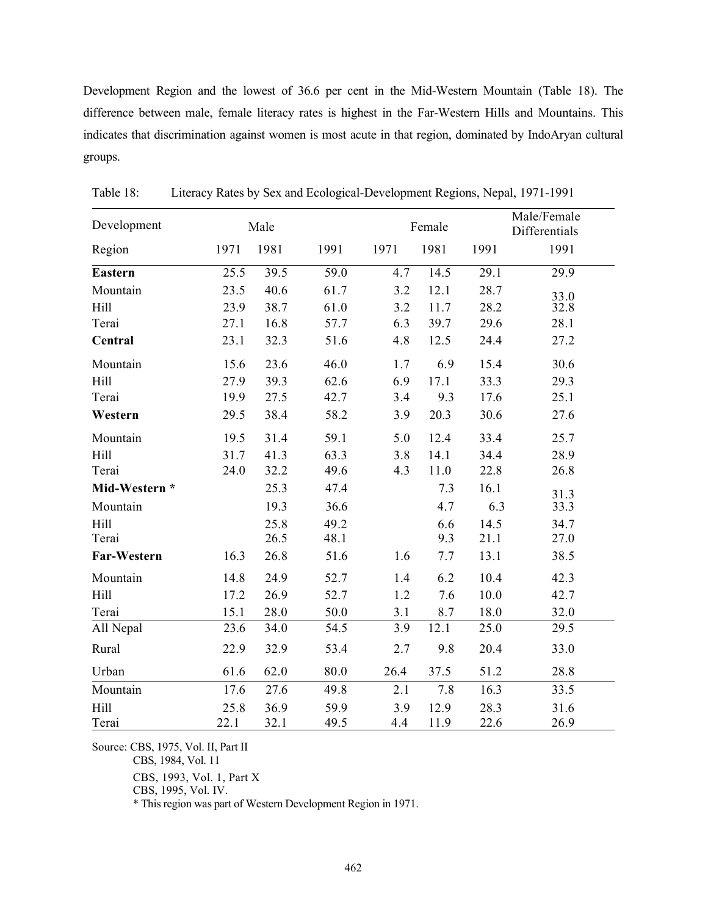Development Region and the lowest of 36.6 per cent in the Mid-Western Mountain (Table 18). The difference between male, female literacy rates is highest in the Far-Western Hills and Mountains. This indicates that discrimination against women is most acute in that region, dominated by IndoAryan cultural groups.

| Development    | Male |      |      | Male/Female<br>Female<br>Differentials |      |      |      |
|----------------|------|------|------|----------------------------------------|------|------|------|
| Region         | 1971 | 1981 | 1991 | 1971                                   | 1981 | 1991 | 1991 |
| <b>Eastern</b> | 25.5 | 39.5 | 59.0 | 4.7                                    | 14.5 | 29.1 | 29.9 |
| Mountain       | 23.5 | 40.6 | 61.7 | 3.2                                    | 12.1 | 28.7 | 33.0 |
| Hill           | 23.9 | 38.7 | 61.0 | 3.2                                    | 11.7 | 28.2 | 32.8 |
| Terai          | 27.1 | 16.8 | 57.7 | 6.3                                    | 39.7 | 29.6 | 28.1 |
| Central        | 23.1 | 32.3 | 51.6 | 4.8                                    | 12.5 | 24.4 | 27.2 |
| Mountain       | 15.6 | 23.6 | 46.0 | 1.7                                    | 6.9  | 15.4 | 30.6 |
| Hill           | 27.9 | 39.3 | 62.6 | 6.9                                    | 17.1 | 33.3 | 29.3 |
| Terai          | 19.9 | 27.5 | 42.7 | 3.4                                    | 9.3  | 17.6 | 25.1 |
| Western        | 29.5 | 38.4 | 58.2 | 3.9                                    | 20.3 | 30.6 | 27.6 |
| Mountain       | 19.5 | 31.4 | 59.1 | 5.0                                    | 12.4 | 33.4 | 25.7 |
| Hill           | 31.7 | 41.3 | 63.3 | 3.8                                    | 14.1 | 34.4 | 28.9 |
| Terai          | 24.0 | 32.2 | 49.6 | 4.3                                    | 11.0 | 22.8 | 26.8 |
| Mid-Western *  |      | 25.3 | 47.4 |                                        | 7.3  | 16.1 | 31.3 |
| Mountain       |      | 19.3 | 36.6 |                                        | 4.7  | 6.3  | 33.3 |
| Hill           |      | 25.8 | 49.2 |                                        | 6.6  | 14.5 | 34.7 |
| Terai          |      | 26.5 | 48.1 |                                        | 9.3  | 21.1 | 27.0 |
| Far-Western    | 16.3 | 26.8 | 51.6 | 1.6                                    | 7.7  | 13.1 | 38.5 |
| Mountain       | 14.8 | 24.9 | 52.7 | 1.4                                    | 6.2  | 10.4 | 42.3 |
| <b>Hill</b>    | 17.2 | 26.9 | 52.7 | 1.2                                    | 7.6  | 10.0 | 42.7 |
| Terai          | 15.1 | 28.0 | 50.0 | 3.1                                    | 8.7  | 18.0 | 32.0 |
| All Nepal      | 23.6 | 34.0 | 54.5 | 3.9                                    | 12.1 | 25.0 | 29.5 |
| Rural          | 22.9 | 32.9 | 53.4 | 2.7                                    | 9.8  | 20.4 | 33.0 |
| Urban          | 61.6 | 62.0 | 80.0 | 26.4                                   | 37.5 | 51.2 | 28.8 |
| Mountain       | 17.6 | 27.6 | 49.8 | 2.1                                    | 7.8  | 16.3 | 33.5 |
| <b>Hill</b>    | 25.8 | 36.9 | 59.9 | 3.9                                    | 12.9 | 28.3 | 31.6 |
| Terai          | 22.1 | 32.1 | 49.5 | 4.4                                    | 11.9 | 22.6 | 26.9 |

Table 18: Literacy Rates by Sex and Ecological-Development Regions, Nepal, 1971-1991

Source: CBS, 1975, Vol. II, Part II

CBS, 1984, Vol. 11

CBS, 1993, Vol. 1, Part X

CBS, 1995, Vol. IV.

\* This region was part of Western Development Region in 1971.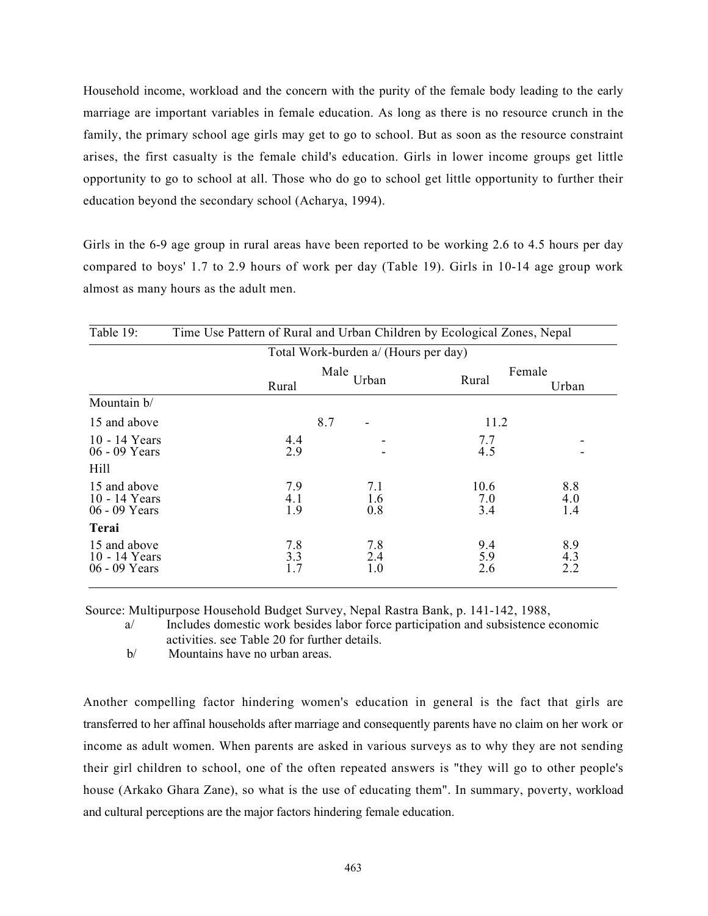Household income, workload and the concern with the purity of the female body leading to the early marriage are important variables in female education. As long as there is no resource crunch in the family, the primary school age girls may get to go to school. But as soon as the resource constraint arises, the first casualty is the female child's education. Girls in lower income groups get little opportunity to go to school at all. Those who do go to school get little opportunity to further their education beyond the secondary school (Acharya, 1994).

Girls in the 6-9 age group in rural areas have been reported to be working 2.6 to 4.5 hours per day compared to boys' 1.7 to 2.9 hours of work per day (Table 19). Girls in 10-14 age group work almost as many hours as the adult men.

| Table 19:                                        | Time Use Pattern of Rural and Urban Children by Ecological Zones, Nepal |      |                   |                    |                   |  |  |  |
|--------------------------------------------------|-------------------------------------------------------------------------|------|-------------------|--------------------|-------------------|--|--|--|
| Total Work-burden a/ (Hours per day)             |                                                                         |      |                   |                    |                   |  |  |  |
|                                                  | Rural                                                                   | Male | Female<br>Rural   | Urban              |                   |  |  |  |
| Mountain b/                                      |                                                                         |      |                   |                    |                   |  |  |  |
| 15 and above                                     |                                                                         | 8.7  | -                 | 11.2               |                   |  |  |  |
| 10 - 14 Years<br>06 - 09 Years                   | 4.4<br>2.9                                                              |      |                   | 7.7<br>4.5         |                   |  |  |  |
| Hill                                             |                                                                         |      |                   |                    |                   |  |  |  |
| 15 and above<br>$10 - 14$ Years<br>06 - 09 Years | 7.9<br>4.1<br>1.9                                                       |      | 7.1<br>1.6<br>0.8 | 10.6<br>7.0<br>3.4 | 8.8<br>4.0<br>1.4 |  |  |  |
| Terai                                            |                                                                         |      |                   |                    |                   |  |  |  |
| 15 and above<br>10 - 14 Years<br>06 - 09 Years   | 7.8<br>3.3<br>1.7                                                       |      | 7.8<br>2.4<br>1.0 | 9.4<br>5.9<br>2.6  | 8.9<br>4.3<br>2.2 |  |  |  |

Source: Multipurpose Household Budget Survey, Nepal Rastra Bank, p. 141-142, 1988,

a/ Includes domestic work besides labor force participation and subsistence economic activities. see Table 20 for further details.

b/ Mountains have no urban areas.

Another compelling factor hindering women's education in general is the fact that girls are transferred to her affinal households after marriage and consequently parents have no claim on her work or income as adult women. When parents are asked in various surveys as to why they are not sending their girl children to school, one of the often repeated answers is "they will go to other people's house (Arkako Ghara Zane), so what is the use of educating them". In summary, poverty, workload and cultural perceptions are the major factors hindering female education.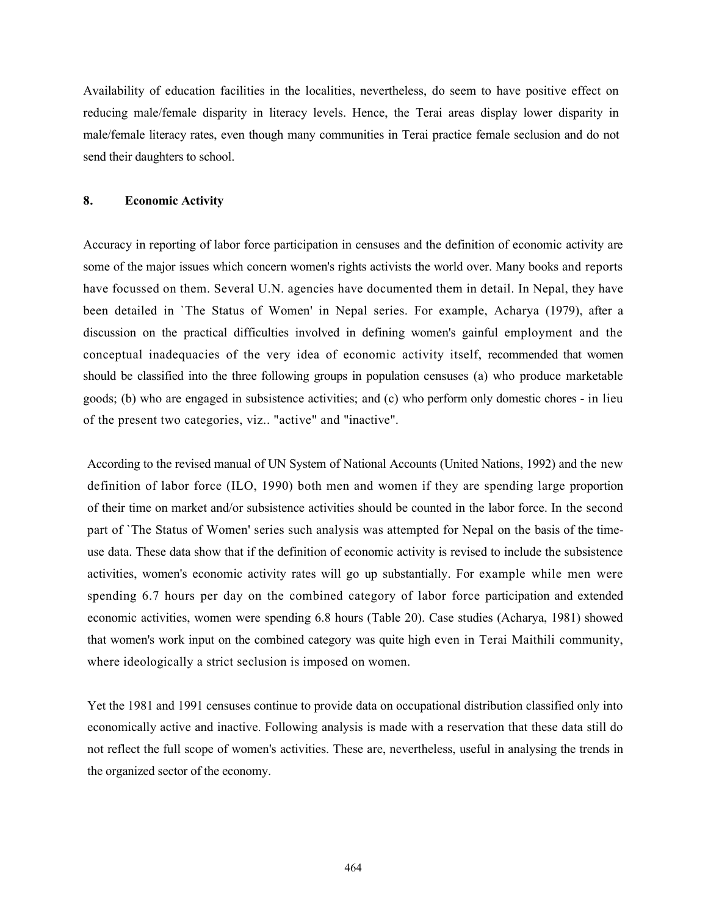Availability of education facilities in the localities, nevertheless, do seem to have positive effect on reducing male/female disparity in literacy levels. Hence, the Terai areas display lower disparity in male/female literacy rates, even though many communities in Terai practice female seclusion and do not send their daughters to school.

#### 8. Economic Activity

Accuracy in reporting of labor force participation in censuses and the definition of economic activity are some of the major issues which concern women's rights activists the world over. Many books and reports have focussed on them. Several U.N. agencies have documented them in detail. In Nepal, they have been detailed in `The Status of Women' in Nepal series. For example, Acharya (1979), after a discussion on the practical difficulties involved in defining women's gainful employment and the conceptual inadequacies of the very idea of economic activity itself, recommended that women should be classified into the three following groups in population censuses (a) who produce marketable goods; (b) who are engaged in subsistence activities; and (c) who perform only domestic chores - in lieu of the present two categories, viz.. "active" and "inactive".

According to the revised manual of UN System of National Accounts (United Nations, 1992) and the new definition of labor force (ILO, 1990) both men and women if they are spending large proportion of their time on market and/or subsistence activities should be counted in the labor force. In the second part of `The Status of Women' series such analysis was attempted for Nepal on the basis of the timeuse data. These data show that if the definition of economic activity is revised to include the subsistence activities, women's economic activity rates will go up substantially. For example while men were spending 6.7 hours per day on the combined category of labor force participation and extended economic activities, women were spending 6.8 hours (Table 20). Case studies (Acharya, 1981) showed that women's work input on the combined category was quite high even in Terai Maithili community, where ideologically a strict seclusion is imposed on women.

Yet the 1981 and 1991 censuses continue to provide data on occupational distribution classified only into economically active and inactive. Following analysis is made with a reservation that these data still do not reflect the full scope of women's activities. These are, nevertheless, useful in analysing the trends in the organized sector of the economy.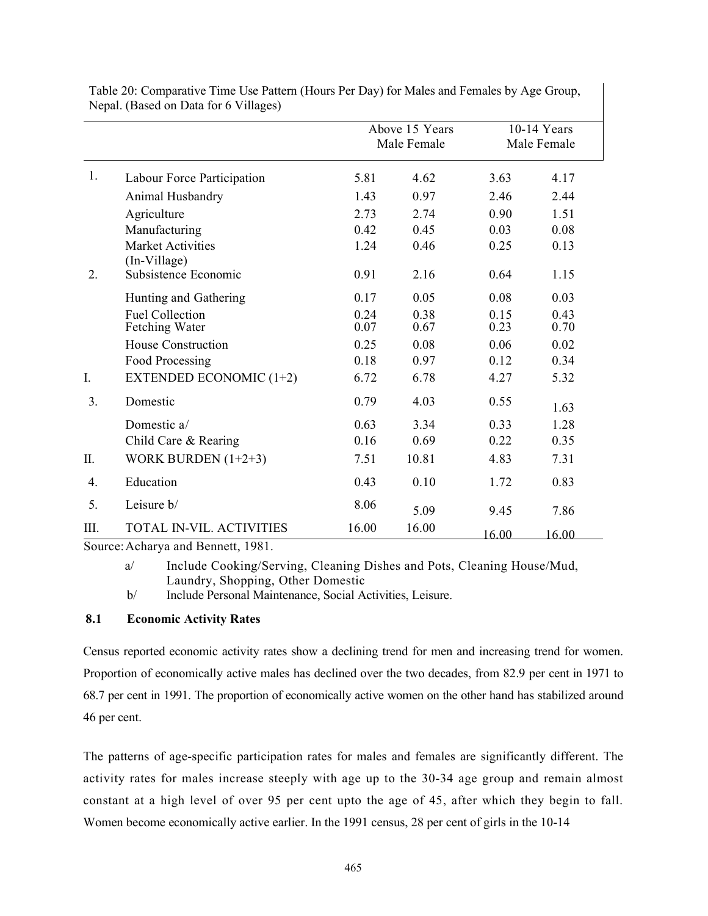|      |                                                 |              | Above 15 Years<br>Male Female |              | $10-14$ Years<br>Male Female |
|------|-------------------------------------------------|--------------|-------------------------------|--------------|------------------------------|
| 1.   | Labour Force Participation                      | 5.81         | 4.62                          | 3.63         | 4.17                         |
|      | Animal Husbandry                                | 1.43         | 0.97                          | 2.46         | 2.44                         |
|      | Agriculture                                     | 2.73         | 2.74                          | 0.90         | 1.51                         |
|      | Manufacturing                                   | 0.42         | 0.45                          | 0.03         | 0.08                         |
|      | <b>Market Activities</b><br>(In-Village)        | 1.24         | 0.46                          | 0.25         | 0.13                         |
| 2.   | Subsistence Economic                            | 0.91         | 2.16                          | 0.64         | 1.15                         |
|      | Hunting and Gathering                           | 0.17         | 0.05                          | 0.08         | 0.03                         |
|      | <b>Fuel Collection</b><br><b>Fetching Water</b> | 0.24<br>0.07 | 0.38<br>0.67                  | 0.15<br>0.23 | 0.43<br>0.70                 |
|      | House Construction                              | 0.25         | 0.08                          | 0.06         | 0.02                         |
|      | Food Processing                                 | 0.18         | 0.97                          | 0.12         | 0.34                         |
| I.   | <b>EXTENDED ECONOMIC (1+2)</b>                  | 6.72         | 6.78                          | 4.27         | 5.32                         |
| 3.   | Domestic                                        | 0.79         | 4.03                          | 0.55         | 1.63                         |
|      | Domestic a/                                     | 0.63         | 3.34                          | 0.33         | 1.28                         |
|      | Child Care & Rearing                            | 0.16         | 0.69                          | 0.22         | 0.35                         |
| II.  | WORK BURDEN $(1+2+3)$                           | 7.51         | 10.81                         | 4.83         | 7.31                         |
| 4.   | Education                                       | 0.43         | 0.10                          | 1.72         | 0.83                         |
| 5.   | Leisure b/                                      | 8.06         | 5.09                          | 9.45         | 7.86                         |
| III. | <b>TOTAL IN-VIL. ACTIVITIES</b>                 | 16.00        | 16.00                         | 16.00        | 16.00                        |

Table 20: Comparative Time Use Pattern (Hours Per Day) for Males and Females by Age Group, Nepal. (Based on Data for 6 Villages)

Source:Acharya and Bennett, 1981.

a/ Include Cooking/Serving, Cleaning Dishes and Pots, Cleaning House/Mud, Laundry, Shopping, Other Domestic

b/ Include Personal Maintenance, Social Activities, Leisure.

# 8.1 Economic Activity Rates

Census reported economic activity rates show a declining trend for men and increasing trend for women. Proportion of economically active males has declined over the two decades, from 82.9 per cent in 1971 to 68.7 per cent in 1991. The proportion of economically active women on the other hand has stabilized around 46 per cent.

The patterns of age-specific participation rates for males and females are significantly different. The activity rates for males increase steeply with age up to the 30-34 age group and remain almost constant at a high level of over 95 per cent upto the age of 45, after which they begin to fall. Women become economically active earlier. In the 1991 census, 28 per cent of girls in the 10-14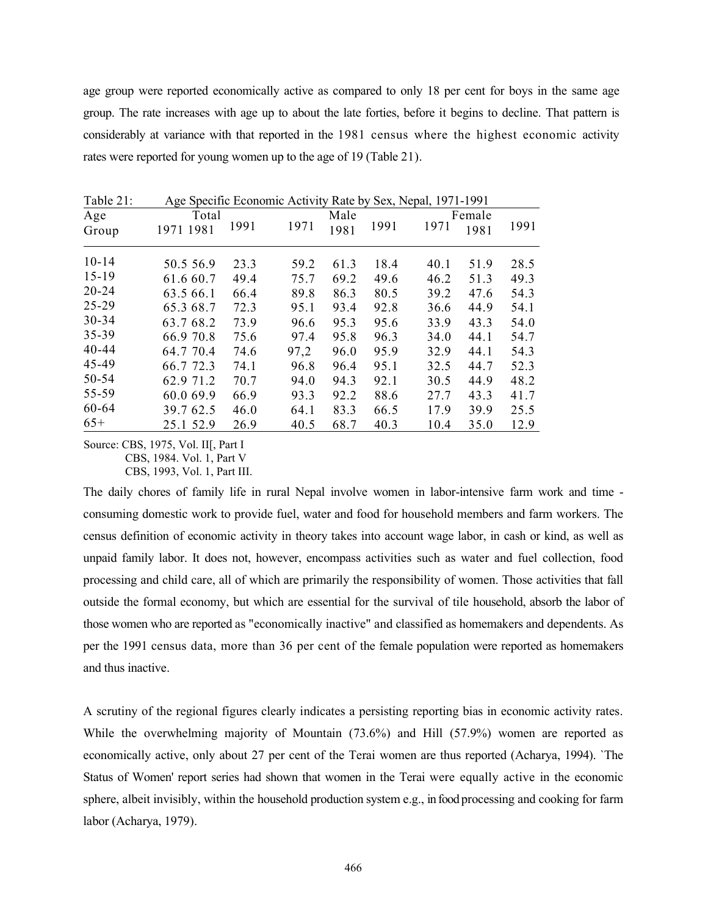age group were reported economically active as compared to only 18 per cent for boys in the same age group. The rate increases with age up to about the late forties, before it begins to decline. That pattern is considerably at variance with that reported in the 1981 census where the highest economic activity rates were reported for young women up to the age of 19 (Table 21).

| Table 21: | Age Specific Economic Activity Rate by Sex, Nepal, 1971-1991 |      |      |      |      |        |      |      |  |  |  |  |
|-----------|--------------------------------------------------------------|------|------|------|------|--------|------|------|--|--|--|--|
| Age       | Total                                                        |      |      | Male |      | Female |      |      |  |  |  |  |
| Group     | 1971 1981                                                    | 1991 | 1971 | 1981 | 1991 | 1971   | 1981 | 1991 |  |  |  |  |
| $10 - 14$ | 50.5 56.9                                                    | 23.3 | 59.2 | 61.3 | 18.4 | 40.1   | 51.9 | 28.5 |  |  |  |  |
| $15-19$   | 61.6 60.7                                                    | 49.4 | 75.7 | 69.2 | 49.6 | 46.2   | 51.3 | 49.3 |  |  |  |  |
| $20 - 24$ | 63.5 66.1                                                    | 66.4 | 89.8 | 86.3 | 80.5 | 39.2   | 47.6 | 54.3 |  |  |  |  |
| 25-29     | 65.3 68.7                                                    | 72.3 | 95.1 | 93.4 | 92.8 | 36.6   | 44.9 | 54.1 |  |  |  |  |
| $30 - 34$ | 63.7 68.2                                                    | 73.9 | 96.6 | 95.3 | 95.6 | 33.9   | 43.3 | 54.0 |  |  |  |  |
| 35-39     | 66.9 70.8                                                    | 75.6 | 97.4 | 95.8 | 96.3 | 34.0   | 44.1 | 54.7 |  |  |  |  |
| $40 - 44$ | 64.7 70.4                                                    | 74.6 | 97,2 | 96.0 | 95.9 | 32.9   | 44.1 | 54.3 |  |  |  |  |
| 45-49     | 66.7 72.3                                                    | 74.1 | 96.8 | 96.4 | 95.1 | 32.5   | 44.7 | 52.3 |  |  |  |  |
| 50-54     | 62.9 71.2                                                    | 70.7 | 94.0 | 94.3 | 92.1 | 30.5   | 44.9 | 48.2 |  |  |  |  |
| 55-59     | 60.0 69.9                                                    | 66.9 | 93.3 | 92.2 | 88.6 | 27.7   | 43.3 | 41.7 |  |  |  |  |
| 60-64     | 39.7 62.5                                                    | 46.0 | 64.1 | 83.3 | 66.5 | 17.9   | 39.9 | 25.5 |  |  |  |  |
| $65+$     | 25.1 52.9                                                    | 26.9 | 40.5 | 68.7 | 40.3 | 10.4   | 35.0 | 12.9 |  |  |  |  |

Source: CBS, 1975, Vol. II[, Part I CBS, 1984. Vol. 1, Part V

CBS, 1993, Vol. 1, Part III.

The daily chores of family life in rural Nepal involve women in labor-intensive farm work and time consuming domestic work to provide fuel, water and food for household members and farm workers. The census definition of economic activity in theory takes into account wage labor, in cash or kind, as well as unpaid family labor. It does not, however, encompass activities such as water and fuel collection, food processing and child care, all of which are primarily the responsibility of women. Those activities that fall outside the formal economy, but which are essential for the survival of tile household, absorb the labor of those women who are reported as "economically inactive" and classified as homemakers and dependents. As per the 1991 census data, more than 36 per cent of the female population were reported as homemakers and thus inactive.

A scrutiny of the regional figures clearly indicates a persisting reporting bias in economic activity rates. While the overwhelming majority of Mountain (73.6%) and Hill (57.9%) women are reported as economically active, only about 27 per cent of the Terai women are thus reported (Acharya, 1994). `The Status of Women' report series had shown that women in the Terai were equally active in the economic sphere, albeit invisibly, within the household production system e.g., in food processing and cooking for farm labor (Acharya, 1979).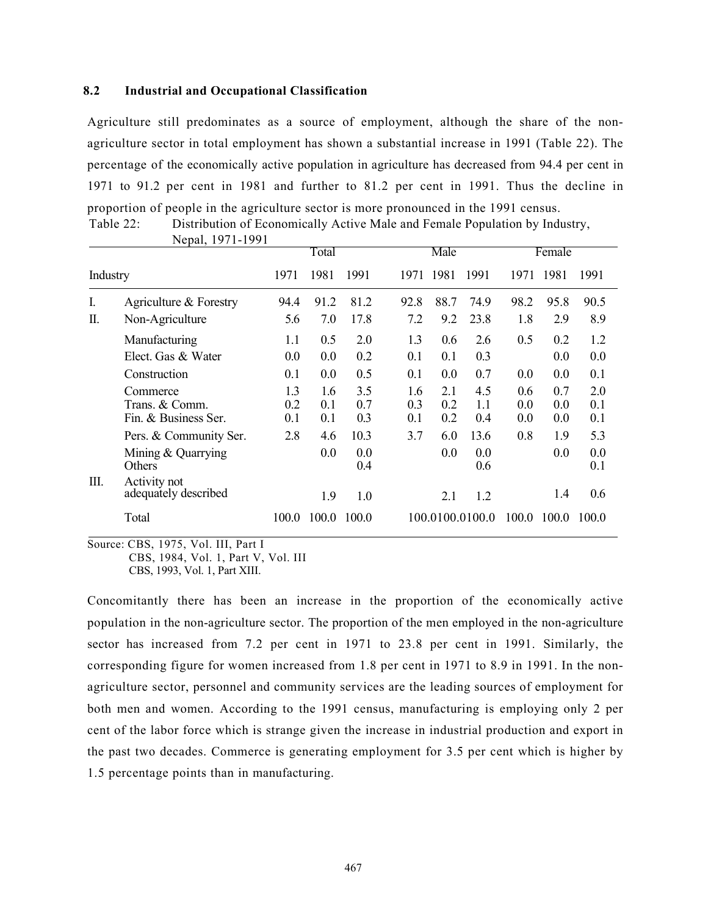### 8.2 Industrial and Occupational Classification

Agriculture still predominates as a source of employment, although the share of the nonagriculture sector in total employment has shown a substantial increase in 1991 (Table 22). The percentage of the economically active population in agriculture has decreased from 94.4 per cent in 1971 to 91.2 per cent in 1981 and further to 81.2 per cent in 1991. Thus the decline in proportion of people in the agriculture sector is more pronounced in the 1991 census. Table 22: Distribution of Economically Active Male and Female Population by Industry,

|    |                                                    |                   | Total             |                   |                   | Male              |                   | Female            |                   |                   |
|----|----------------------------------------------------|-------------------|-------------------|-------------------|-------------------|-------------------|-------------------|-------------------|-------------------|-------------------|
|    | Industry                                           |                   | 1981              | 1991              | 1971              | -1981             | 1991              | 1971              | 1981              | 1991              |
| I. | Agriculture & Forestry                             | 94.4              | 91.2              | 81.2              | 92.8              | 88.7              | 74.9              | 98.2              | 95.8              | 90.5              |
| П. | Non-Agriculture                                    | 5.6               | 7.0               | 17.8              | 7.2               | 9.2               | 23.8              | 1.8               | 2.9               | 8.9               |
|    | Manufacturing                                      | 1.1               | 0.5               | 2.0               | 1.3               | 0.6               | 2.6               | 0.5               | 0.2               | 1.2               |
|    | Elect. Gas & Water                                 | 0.0               | 0.0               | 0.2               | 0.1               | 0.1               | 0.3               |                   | 0.0               | 0.0               |
|    | Construction                                       | 0.1               | 0.0               | 0.5               | 0.1               | 0.0               | 0.7               | 0.0               | 0.0               | 0.1               |
|    | Commerce<br>Trans. & Comm.<br>Fin. & Business Ser. | 1.3<br>0.2<br>0.1 | 1.6<br>0.1<br>0.1 | 3.5<br>0.7<br>0.3 | 1.6<br>0.3<br>0.1 | 2.1<br>0.2<br>0.2 | 4.5<br>1.1<br>0.4 | 0.6<br>0.0<br>0.0 | 0.7<br>0.0<br>0.0 | 2.0<br>0.1<br>0.1 |
|    | Pers. & Community Ser.                             | 2.8               | 4.6               | 10.3              | 3.7               | 6.0               | 13.6              | 0.8               | 1.9               | 5.3               |
|    | Mining & Quarrying<br>Others                       |                   | 0.0               | 0.0<br>0.4        |                   | 0.0               | 0.0<br>0.6        |                   | 0.0               | 0.0<br>0.1        |
| Ш. | Activity not<br>adequately described               |                   | 1.9               | 1.0               |                   | 2.1               | 1.2               |                   | 1.4               | 0.6               |
|    | Total                                              | 100.0             | 100.0             | 100.0             |                   |                   | 100.0100.0100.0   | 100.0             | 100.0             | 100.0             |

Nepal, 1971-1991

Source: CBS, 1975, Vol. III, Part I CBS, 1984, Vol. 1, Part V, Vol. III CBS, 1993, Vol. 1, Part XIII.

Concomitantly there has been an increase in the proportion of the economically active population in the non-agriculture sector. The proportion of the men employed in the non-agriculture sector has increased from 7.2 per cent in 1971 to 23.8 per cent in 1991. Similarly, the corresponding figure for women increased from 1.8 per cent in 1971 to 8.9 in 1991. In the nonagriculture sector, personnel and community services are the leading sources of employment for both men and women. According to the 1991 census, manufacturing is employing only 2 per cent of the labor force which is strange given the increase in industrial production and export in the past two decades. Commerce is generating employment for 3.5 per cent which is higher by 1.5 percentage points than in manufacturing.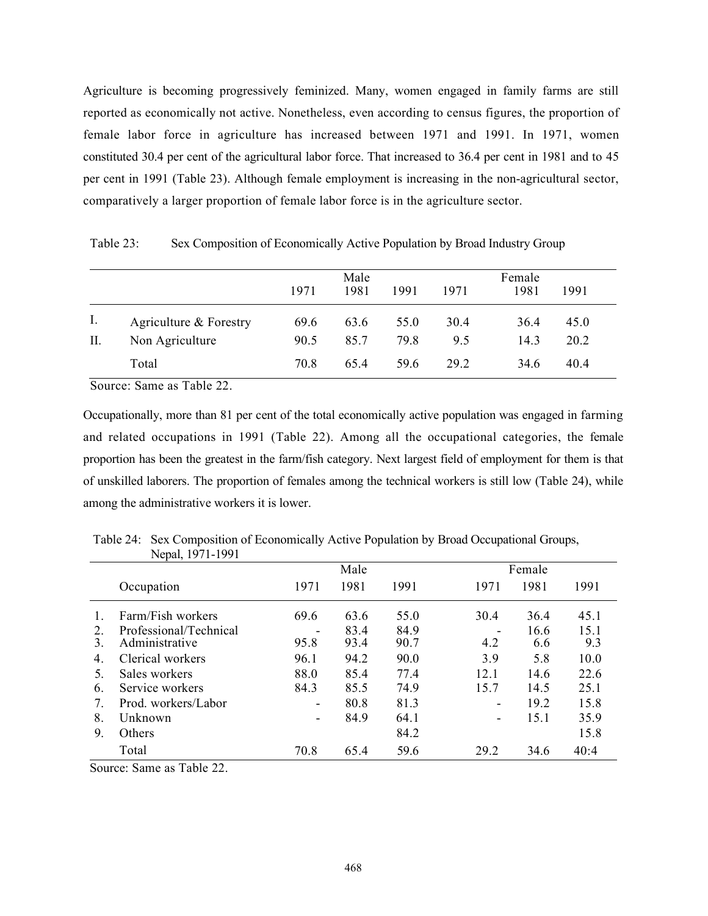Agriculture is becoming progressively feminized. Many, women engaged in family farms are still reported as economically not active. Nonetheless, even according to census figures, the proportion of female labor force in agriculture has increased between 1971 and 1991. In 1971, women constituted 30.4 per cent of the agricultural labor force. That increased to 36.4 per cent in 1981 and to 45 per cent in 1991 (Table 23). Although female employment is increasing in the non-agricultural sector, comparatively a larger proportion of female labor force is in the agriculture sector.

Male Female 1971 1981 1991 1971 1981 1991 I. Agriculture & Forestry 69.6 63.6 55.0 30.4 36.4 45.0 II. Non Agriculture 90.5 85.7 79.8 9.5 14.3 20.2 Total 70.8 65.4 59.6 29.2 34.6 40.4

Table 23: Sex Composition of Economically Active Population by Broad Industry Group

Source: Same as Table 22.

Occupationally, more than 81 per cent of the total economically active population was engaged in farming and related occupations in 1991 (Table 22). Among all the occupational categories, the female proportion has been the greatest in the farm/fish category. Next largest field of employment for them is that of unskilled laborers. The proportion of females among the technical workers is still low (Table 24), while among the administrative workers it is lower.

|    | Nepal, 1971-1991       |                          |      |      |                          |      |      |  |  |
|----|------------------------|--------------------------|------|------|--------------------------|------|------|--|--|
|    |                        |                          | Male |      | Female                   |      |      |  |  |
|    | Occupation             | 1971                     | 1981 | 1991 | 1971                     | 1981 | 1991 |  |  |
|    | Farm/Fish workers      | 69.6                     | 63.6 | 55.0 | 30.4                     | 36.4 | 45.1 |  |  |
| 2. | Professional/Technical | -                        | 83.4 | 84.9 |                          | 16.6 | 15.1 |  |  |
| 3. | Administrative         | 95.8                     | 93.4 | 90.7 | 4.2                      | 6.6  | 9.3  |  |  |
| 4. | Clerical workers       | 96.1                     | 94.2 | 90.0 | 3.9                      | 5.8  | 10.0 |  |  |
| 5. | Sales workers          | 88.0                     | 85.4 | 77.4 | 12.1                     | 14.6 | 22.6 |  |  |
| 6. | Service workers        | 84.3                     | 85.5 | 74.9 | 15.7                     | 14.5 | 25.1 |  |  |
| 7. | Prod. workers/Labor    | $\overline{\phantom{a}}$ | 80.8 | 81.3 | $\overline{\phantom{a}}$ | 19.2 | 15.8 |  |  |
| 8. | Unknown                | $\overline{\phantom{a}}$ | 84.9 | 64.1 |                          | 15.1 | 35.9 |  |  |
| 9. | Others                 |                          |      | 84.2 |                          |      | 15.8 |  |  |
|    | Total                  | 70.8                     | 65.4 | 59.6 | 29.2                     | 34.6 | 40:4 |  |  |

Table 24: Sex Composition of Economically Active Population by Broad Occupational Groups,

Source: Same as Table 22.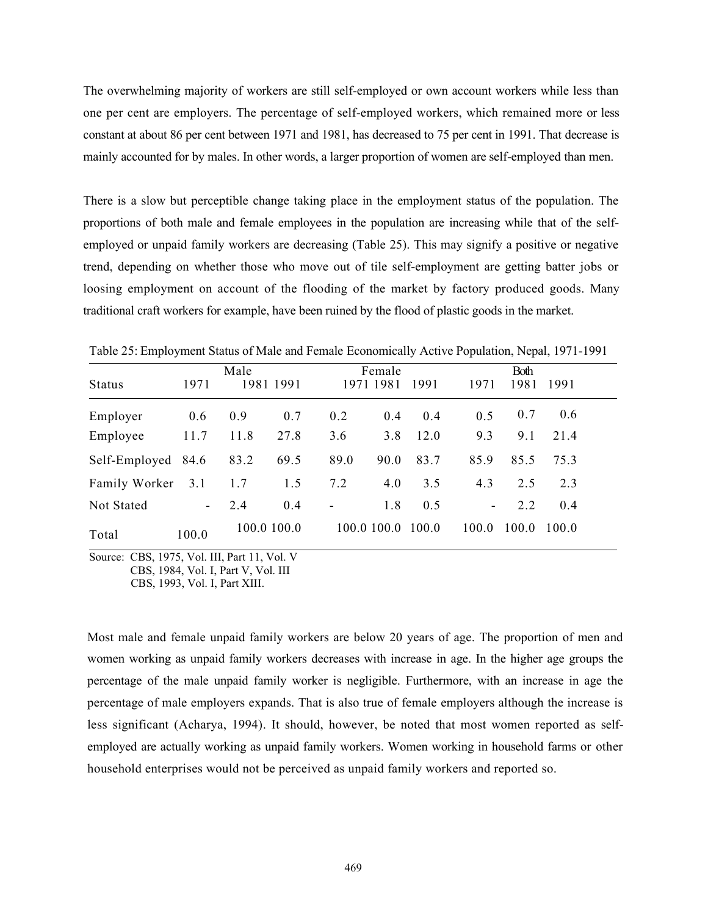The overwhelming majority of workers are still self-employed or own account workers while less than one per cent are employers. The percentage of self-employed workers, which remained more or less constant at about 86 per cent between 1971 and 1981, has decreased to 75 per cent in 1991. That decrease is mainly accounted for by males. In other words, a larger proportion of women are self-employed than men.

There is a slow but perceptible change taking place in the employment status of the population. The proportions of both male and female employees in the population are increasing while that of the selfemployed or unpaid family workers are decreasing (Table 25). This may signify a positive or negative trend, depending on whether those who move out of tile self-employment are getting batter jobs or loosing employment on account of the flooding of the market by factory produced goods. Many traditional craft workers for example, have been ruined by the flood of plastic goods in the market.

|                    |                 | Male |             |                          | Female      |       | Both                     |       |       |  |
|--------------------|-----------------|------|-------------|--------------------------|-------------|-------|--------------------------|-------|-------|--|
| <b>Status</b>      | 1971            |      | 1981 1991   |                          | 1971 1981   | 1991  | 1971                     | 1981  | 1991  |  |
| Employer           | 0.6             | 0.9  | 0.7         | 0.2                      | 0.4         | 0.4   | 0.5                      | 0.7   | 0.6   |  |
| Employee           | 11.7            | 11.8 | 27.8        | 3.6                      | 3.8         | 12.0  | 9.3                      | 9.1   | 21.4  |  |
| Self-Employed 84.6 |                 | 83.2 | 69.5        | 89.0                     | 90.0        | 83.7  | 85.9                     | 85.5  | 75.3  |  |
| Family Worker      | 3.1             | 1.7  | 1.5         | 7.2                      | 4.0         | 3.5   | 4.3                      | 2.5   | 2.3   |  |
| Not Stated         | $\sim$ 10 $\pm$ | 2.4  | 0.4         | $\overline{\phantom{a}}$ | 1.8         | 0.5   | $\overline{\phantom{0}}$ | 2.2   | 0.4   |  |
| Total              | 100.0           |      | 100.0 100.0 |                          | 100.0 100.0 | 100.0 | 100.0                    | 100.0 | 100.0 |  |

Table 25: Employment Status of Male and Female Economically Active Population, Nepal, 1971-1991

Source: CBS, 1975, Vol. III, Part 11, Vol. V CBS, 1984, Vol. I, Part V, Vol. III

CBS, 1993, Vol. I, Part XIII.

Most male and female unpaid family workers are below 20 years of age. The proportion of men and women working as unpaid family workers decreases with increase in age. In the higher age groups the percentage of the male unpaid family worker is negligible. Furthermore, with an increase in age the percentage of male employers expands. That is also true of female employers although the increase is less significant (Acharya, 1994). It should, however, be noted that most women reported as selfemployed are actually working as unpaid family workers. Women working in household farms or other household enterprises would not be perceived as unpaid family workers and reported so.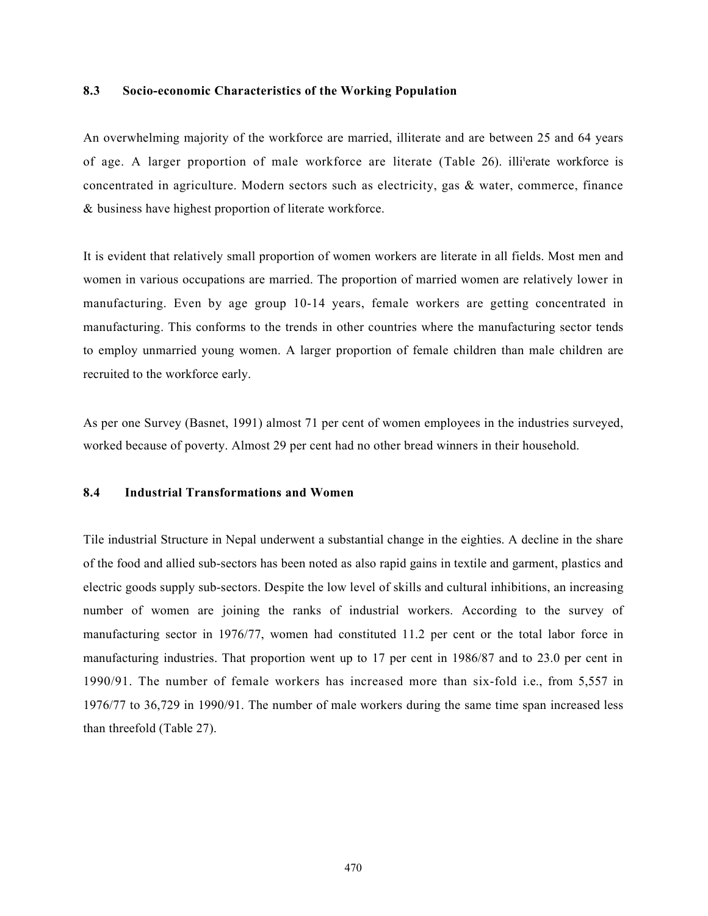### 8.3 Socio-economic Characteristics of the Working Population

An overwhelming majority of the workforce are married, illiterate and are between 25 and 64 years of age. A larger proportion of male workforce are literate (Table 26). illi<sup>t</sup>erate workforce is concentrated in agriculture. Modern sectors such as electricity, gas & water, commerce, finance & business have highest proportion of literate workforce.

It is evident that relatively small proportion of women workers are literate in all fields. Most men and women in various occupations are married. The proportion of married women are relatively lower in manufacturing. Even by age group 10-14 years, female workers are getting concentrated in manufacturing. This conforms to the trends in other countries where the manufacturing sector tends to employ unmarried young women. A larger proportion of female children than male children are recruited to the workforce early.

As per one Survey (Basnet, 1991) almost 71 per cent of women employees in the industries surveyed, worked because of poverty. Almost 29 per cent had no other bread winners in their household.

### 8.4 Industrial Transformations and Women

Tile industrial Structure in Nepal underwent a substantial change in the eighties. A decline in the share of the food and allied sub-sectors has been noted as also rapid gains in textile and garment, plastics and electric goods supply sub-sectors. Despite the low level of skills and cultural inhibitions, an increasing number of women are joining the ranks of industrial workers. According to the survey of manufacturing sector in 1976/77, women had constituted 11.2 per cent or the total labor force in manufacturing industries. That proportion went up to 17 per cent in 1986/87 and to 23.0 per cent in 1990/91. The number of female workers has increased more than six-fold i.e., from 5,557 in 1976/77 to 36,729 in 1990/91. The number of male workers during the same time span increased less than threefold (Table 27).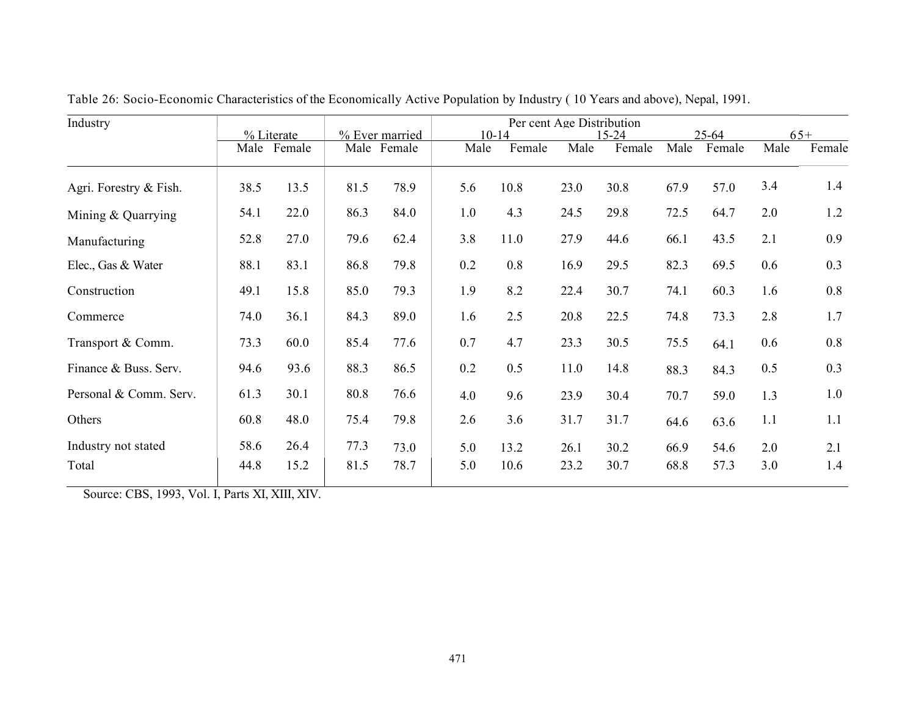| Industry                     |              | % Literate   |              | % Ever married | Per cent Age Distribution<br>$10 - 14$<br>$15 - 24$ |              |              |              |              | $25 - 64$    |            | $65+$      |  |
|------------------------------|--------------|--------------|--------------|----------------|-----------------------------------------------------|--------------|--------------|--------------|--------------|--------------|------------|------------|--|
|                              | Male         | Female       |              | Male Female    | Male                                                | Female       | Male         | Female       | Male         | Female       | Male       | Female     |  |
| Agri. Forestry & Fish.       | 38.5         | 13.5         | 81.5         | 78.9           | 5.6                                                 | 10.8         | 23.0         | 30.8         | 67.9         | 57.0         | 3.4        | 1.4        |  |
| Mining & Quarrying           | 54.1         | 22.0         | 86.3         | 84.0           | 1.0                                                 | 4.3          | 24.5         | 29.8         | 72.5         | 64.7         | 2.0        | 1.2        |  |
| Manufacturing                | 52.8         | 27.0         | 79.6         | 62.4           | 3.8                                                 | 11.0         | 27.9         | 44.6         | 66.1         | 43.5         | 2.1        | 0.9        |  |
| Elec., Gas & Water           | 88.1         | 83.1         | 86.8         | 79.8           | 0.2                                                 | 0.8          | 16.9         | 29.5         | 82.3         | 69.5         | 0.6        | 0.3        |  |
| Construction                 | 49.1         | 15.8         | 85.0         | 79.3           | 1.9                                                 | 8.2          | 22.4         | 30.7         | 74.1         | 60.3         | 1.6        | 0.8        |  |
| Commerce                     | 74.0         | 36.1         | 84.3         | 89.0           | 1.6                                                 | 2.5          | 20.8         | 22.5         | 74.8         | 73.3         | 2.8        | 1.7        |  |
| Transport & Comm.            | 73.3         | 60.0         | 85.4         | 77.6           | 0.7                                                 | 4.7          | 23.3         | 30.5         | 75.5         | 64.1         | 0.6        | 0.8        |  |
| Finance & Buss. Serv.        | 94.6         | 93.6         | 88.3         | 86.5           | 0.2                                                 | 0.5          | 11.0         | 14.8         | 88.3         | 84.3         | 0.5        | 0.3        |  |
| Personal & Comm. Serv.       | 61.3         | 30.1         | 80.8         | 76.6           | 4.0                                                 | 9.6          | 23.9         | 30.4         | 70.7         | 59.0         | 1.3        | 1.0        |  |
| Others                       | 60.8         | 48.0         | 75.4         | 79.8           | 2.6                                                 | 3.6          | 31.7         | 31.7         | 64.6         | 63.6         | 1.1        | 1.1        |  |
| Industry not stated<br>Total | 58.6<br>44.8 | 26.4<br>15.2 | 77.3<br>81.5 | 73.0<br>78.7   | 5.0<br>5.0                                          | 13.2<br>10.6 | 26.1<br>23.2 | 30.2<br>30.7 | 66.9<br>68.8 | 54.6<br>57.3 | 2.0<br>3.0 | 2.1<br>1.4 |  |
|                              |              |              |              |                |                                                     |              |              |              |              |              |            |            |  |

Table 26: Socio-Economic Characteristics of the Economically Active Population by Industry ( 10 Years and above), Nepal, 1991.

Source: CBS, 1993, Vol. I, Parts XI, XIII, XIV.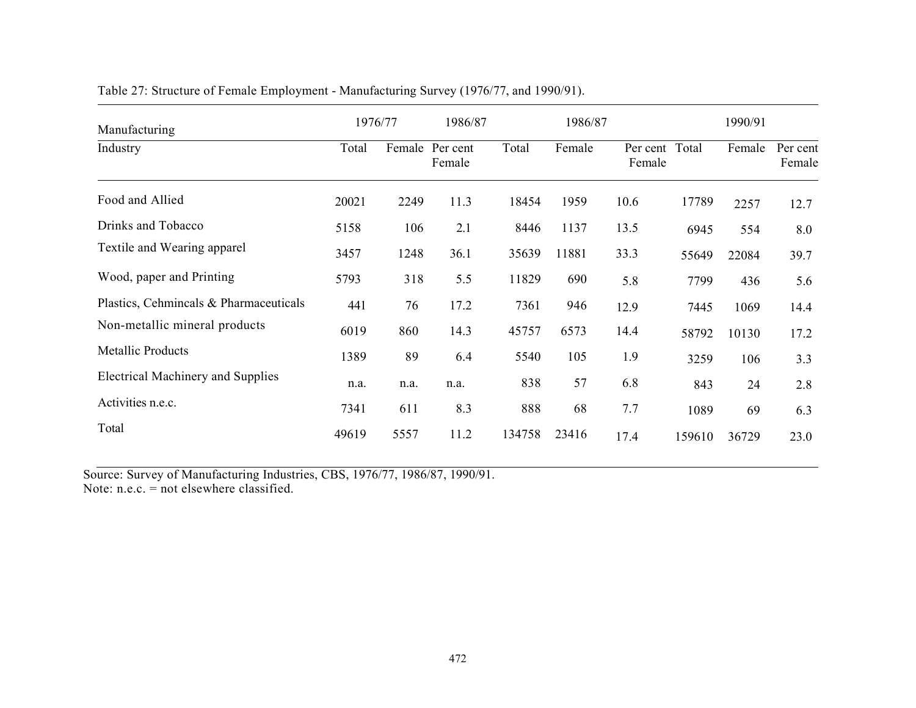| Manufacturing                            |       | 1976/77 | 1986/87            |        |        | 1990/91                  |        |        |                    |
|------------------------------------------|-------|---------|--------------------|--------|--------|--------------------------|--------|--------|--------------------|
| Industry                                 | Total | Female  | Per cent<br>Female | Total  | Female | Per cent Total<br>Female |        | Female | Per cent<br>Female |
| Food and Allied                          | 20021 | 2249    | 11.3               | 18454  | 1959   | 10.6                     | 17789  | 2257   | 12.7               |
| Drinks and Tobacco                       | 5158  | 106     | 2.1                | 8446   | 1137   | 13.5                     | 6945   | 554    | 8.0                |
| Textile and Wearing apparel              | 3457  | 1248    | 36.1               | 35639  | 11881  | 33.3                     | 55649  | 22084  | 39.7               |
| Wood, paper and Printing                 | 5793  | 318     | 5.5                | 11829  | 690    | 5.8                      | 7799   | 436    | 5.6                |
| Plastics, Cehmincals & Pharmaceuticals   | 441   | 76      | 17.2               | 7361   | 946    | 12.9                     | 7445   | 1069   | 14.4               |
| Non-metallic mineral products            | 6019  | 860     | 14.3               | 45757  | 6573   | 14.4                     | 58792  | 10130  | 17.2               |
| <b>Metallic Products</b>                 | 1389  | 89      | 6.4                | 5540   | 105    | 1.9                      | 3259   | 106    | 3.3                |
| <b>Electrical Machinery and Supplies</b> | n.a.  | n.a.    | n.a.               | 838    | 57     | 6.8                      | 843    | 24     | 2.8                |
| Activities n.e.c.                        | 7341  | 611     | 8.3                | 888    | 68     | 7.7                      | 1089   | 69     | 6.3                |
| Total                                    | 49619 | 5557    | 11.2               | 134758 | 23416  | 17.4                     | 159610 | 36729  | 23.0               |

Table 27: Structure of Female Employment - Manufacturing Survey (1976/77, and 1990/91).

Source: Survey of Manufacturing Industries, CBS, 1976/77, 1986/87, 1990/91. Note: n.e.c. = not elsewhere classified.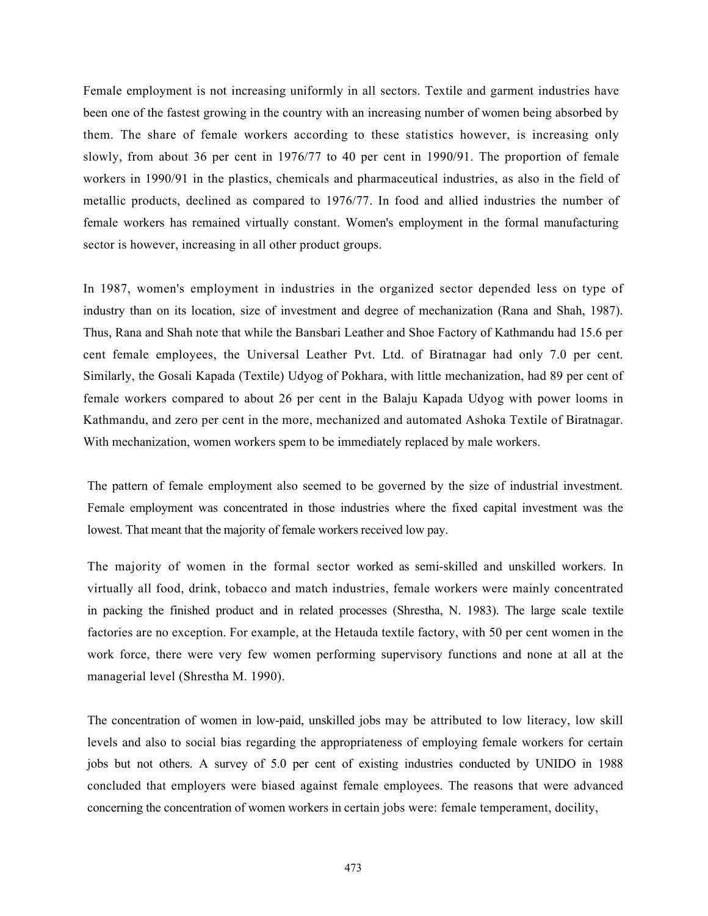Female employment is not increasing uniformly in all sectors. Textile and garment industries have been one of the fastest growing in the country with an increasing number of women being absorbed by them. The share of female workers according to these statistics however, is increasing only slowly, from about 36 per cent in 1976/77 to 40 per cent in 1990/91. The proportion of female workers in 1990/91 in the plastics, chemicals and pharmaceutical industries, as also in the field of metallic products, declined as compared to 1976/77. In food and allied industries the number of female workers has remained virtually constant. Women's employment in the formal manufacturing sector is however, increasing in all other product groups.

In 1987, women's employment in industries in the organized sector depended less on type of industry than on its location, size of investment and degree of mechanization (Rana and Shah, 1987). Thus, Rana and Shah note that while the Bansbari Leather and Shoe Factory of Kathmandu had 15.6 per cent female employees, the Universal Leather Pvt. Ltd. of Biratnagar had only 7.0 per cent. Similarly, the Gosali Kapada (Textile) Udyog of Pokhara, with little mechanization, had 89 per cent of female workers compared to about 26 per cent in the Balaju Kapada Udyog with power looms in Kathmandu, and zero per cent in the more, mechanized and automated Ashoka Textile of Biratnagar. With mechanization, women workers spem to be immediately replaced by male workers.

The pattern of female employment also seemed to be governed by the size of industrial investment. Female employment was concentrated in those industries where the fixed capital investment was the lowest. That meant that the majority of female workers received low pay.

The majority of women in the formal sector worked as semi-skilled and unskilled workers. In virtually all food, drink, tobacco and match industries, female workers were mainly concentrated in packing the finished product and in related processes (Shrestha, N. 1983). The large scale textile factories are no exception. For example, at the Hetauda textile factory, with 50 per cent women in the work force, there were very few women performing supervisory functions and none at all at the managerial level (Shrestha M. 1990).

The concentration of women in low-paid, unskilled jobs may be attributed to low literacy, low skill levels and also to social bias regarding the appropriateness of employing female workers for certain jobs but not others. A survey of 5.0 per cent of existing industries conducted by UNIDO in 1988 concluded that employers were biased against female employees. The reasons that were advanced concerning the concentration of women workers in certain jobs were: female temperament, docility,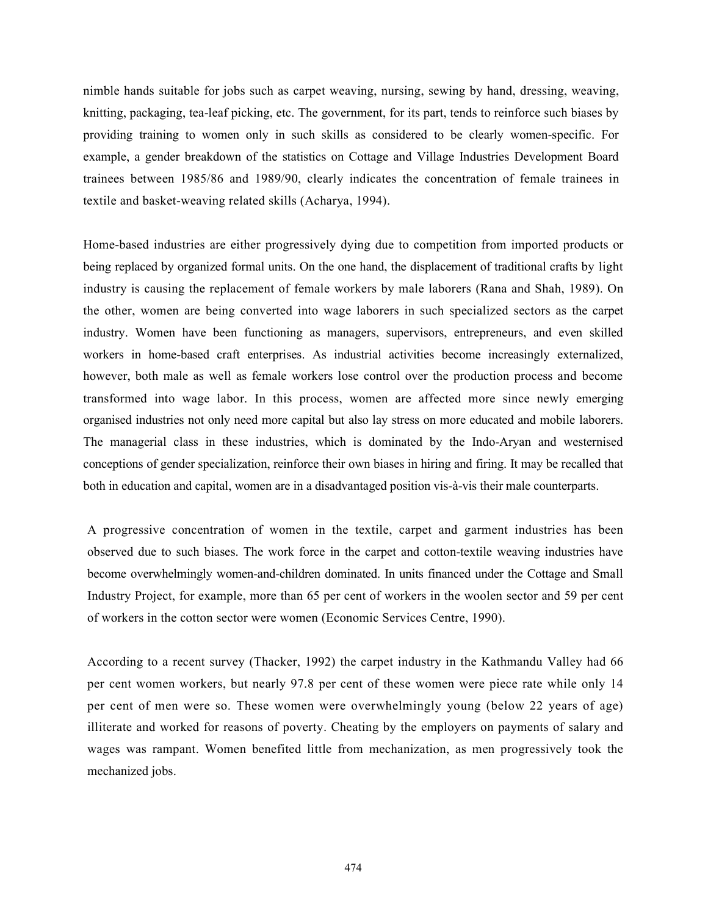nimble hands suitable for jobs such as carpet weaving, nursing, sewing by hand, dressing, weaving, knitting, packaging, tea-leaf picking, etc. The government, for its part, tends to reinforce such biases by providing training to women only in such skills as considered to be clearly women-specific. For example, a gender breakdown of the statistics on Cottage and Village Industries Development Board trainees between 1985/86 and 1989/90, clearly indicates the concentration of female trainees in textile and basket-weaving related skills (Acharya, 1994).

Home-based industries are either progressively dying due to competition from imported products or being replaced by organized formal units. On the one hand, the displacement of traditional crafts by light industry is causing the replacement of female workers by male laborers (Rana and Shah, 1989). On the other, women are being converted into wage laborers in such specialized sectors as the carpet industry. Women have been functioning as managers, supervisors, entrepreneurs, and even skilled workers in home-based craft enterprises. As industrial activities become increasingly externalized, however, both male as well as female workers lose control over the production process and become transformed into wage labor. In this process, women are affected more since newly emerging organised industries not only need more capital but also lay stress on more educated and mobile laborers. The managerial class in these industries, which is dominated by the Indo-Aryan and westernised conceptions of gender specialization, reinforce their own biases in hiring and firing. It may be recalled that both in education and capital, women are in a disadvantaged position vis-à-vis their male counterparts.

A progressive concentration of women in the textile, carpet and garment industries has been observed due to such biases. The work force in the carpet and cotton-textile weaving industries have become overwhelmingly women-and-children dominated. In units financed under the Cottage and Small Industry Project, for example, more than 65 per cent of workers in the woolen sector and 59 per cent of workers in the cotton sector were women (Economic Services Centre, 1990).

According to a recent survey (Thacker, 1992) the carpet industry in the Kathmandu Valley had 66 per cent women workers, but nearly 97.8 per cent of these women were piece rate while only 14 per cent of men were so. These women were overwhelmingly young (below 22 years of age) illiterate and worked for reasons of poverty. Cheating by the employers on payments of salary and wages was rampant. Women benefited little from mechanization, as men progressively took the mechanized jobs.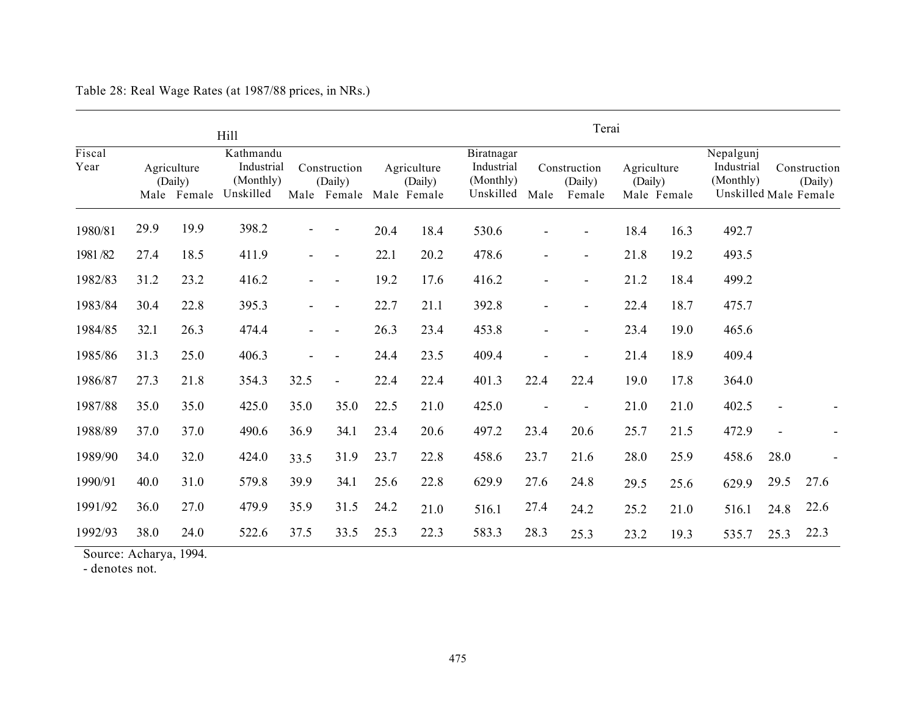|                |                                       |      | Hill                                              |      |                                                    |      |                        | Terai                                              |                                           |                          |                                       |      |                                      |                                                  |  |
|----------------|---------------------------------------|------|---------------------------------------------------|------|----------------------------------------------------|------|------------------------|----------------------------------------------------|-------------------------------------------|--------------------------|---------------------------------------|------|--------------------------------------|--------------------------------------------------|--|
| Fiscal<br>Year | Agriculture<br>(Daily)<br>Male Female |      | Kathmandu<br>Industrial<br>(Monthly)<br>Unskilled |      | Construction<br>(Daily)<br>Male Female Male Female |      | Agriculture<br>(Daily) | Biratnagar<br>Industrial<br>(Monthly)<br>Unskilled | Construction<br>(Daily)<br>Male<br>Female |                          | Agriculture<br>(Daily)<br>Male Female |      | Nepalgunj<br>Industrial<br>(Monthly) | Construction<br>(Daily)<br>Unskilled Male Female |  |
| 1980/81        | 29.9                                  | 19.9 | 398.2                                             |      |                                                    | 20.4 | 18.4                   | 530.6                                              |                                           |                          | 18.4                                  | 16.3 | 492.7                                |                                                  |  |
| 1981/82        | 27.4                                  | 18.5 | 411.9                                             |      | $\overline{\phantom{a}}$                           | 22.1 | 20.2                   | 478.6                                              |                                           | $\blacksquare$           | 21.8                                  | 19.2 | 493.5                                |                                                  |  |
| 1982/83        | 31.2                                  | 23.2 | 416.2                                             |      |                                                    | 19.2 | 17.6                   | 416.2                                              |                                           |                          | 21.2                                  | 18.4 | 499.2                                |                                                  |  |
| 1983/84        | 30.4                                  | 22.8 | 395.3                                             |      |                                                    | 22.7 | 21.1                   | 392.8                                              |                                           | $\overline{\phantom{a}}$ | 22.4                                  | 18.7 | 475.7                                |                                                  |  |
| 1984/85        | 32.1                                  | 26.3 | 474.4                                             |      |                                                    | 26.3 | 23.4                   | 453.8                                              |                                           | $\blacksquare$           | 23.4                                  | 19.0 | 465.6                                |                                                  |  |
| 1985/86        | 31.3                                  | 25.0 | 406.3                                             |      |                                                    | 24.4 | 23.5                   | 409.4                                              |                                           |                          | 21.4                                  | 18.9 | 409.4                                |                                                  |  |
| 1986/87        | 27.3                                  | 21.8 | 354.3                                             | 32.5 | $\blacksquare$                                     | 22.4 | 22.4                   | 401.3                                              | 22.4                                      | 22.4                     | 19.0                                  | 17.8 | 364.0                                |                                                  |  |
| 1987/88        | 35.0                                  | 35.0 | 425.0                                             | 35.0 | 35.0                                               | 22.5 | 21.0                   | 425.0                                              |                                           |                          | 21.0                                  | 21.0 | 402.5                                |                                                  |  |
| 1988/89        | 37.0                                  | 37.0 | 490.6                                             | 36.9 | 34.1                                               | 23.4 | 20.6                   | 497.2                                              | 23.4                                      | 20.6                     | 25.7                                  | 21.5 | 472.9                                |                                                  |  |
| 1989/90        | 34.0                                  | 32.0 | 424.0                                             | 33.5 | 31.9                                               | 23.7 | 22.8                   | 458.6                                              | 23.7                                      | 21.6                     | 28.0                                  | 25.9 | 458.6                                | 28.0                                             |  |
| 1990/91        | 40.0                                  | 31.0 | 579.8                                             | 39.9 | 34.1                                               | 25.6 | 22.8                   | 629.9                                              | 27.6                                      | 24.8                     | 29.5                                  | 25.6 | 629.9                                | 29.5<br>27.6                                     |  |
| 1991/92        | 36.0                                  | 27.0 | 479.9                                             | 35.9 | 31.5                                               | 24.2 | 21.0                   | 516.1                                              | 27.4                                      | 24.2                     | 25.2                                  | 21.0 | 516.1                                | 22.6<br>24.8                                     |  |
| 1992/93        | 38.0                                  | 24.0 | 522.6                                             | 37.5 | 33.5                                               | 25.3 | 22.3                   | 583.3                                              | 28.3                                      | 25.3                     | 23.2                                  | 19.3 | 535.7                                | 22.3<br>25.3                                     |  |

Table 28: Real Wage Rates (at 1987/88 prices, in NRs.)

Source: Acharya, 1994.

- denotes not.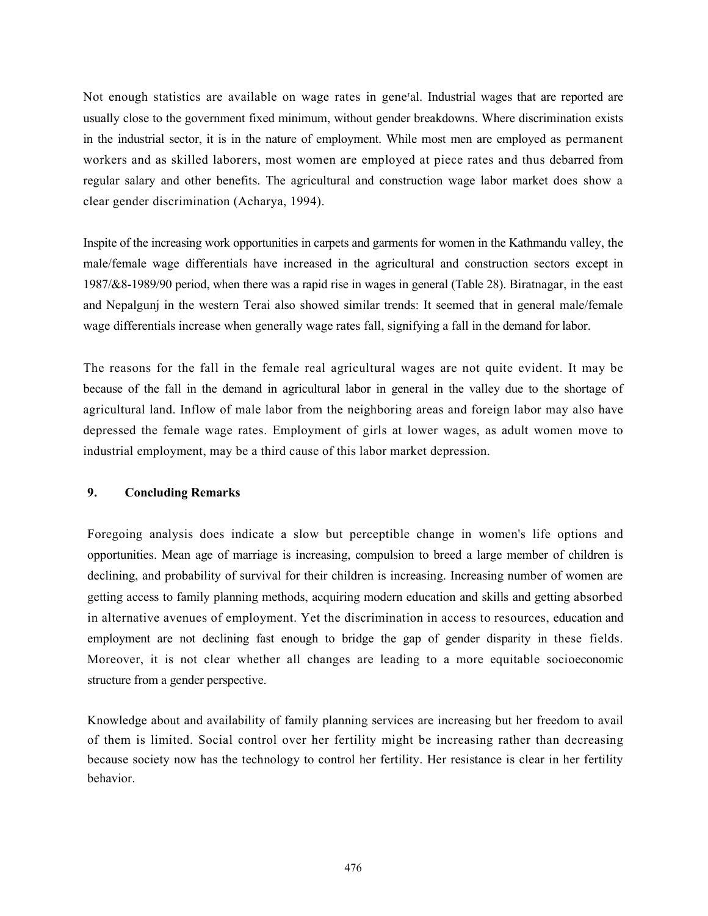Not enough statistics are available on wage rates in general. Industrial wages that are reported are usually close to the government fixed minimum, without gender breakdowns. Where discrimination exists in the industrial sector, it is in the nature of employment. While most men are employed as permanent workers and as skilled laborers, most women are employed at piece rates and thus debarred from regular salary and other benefits. The agricultural and construction wage labor market does show a clear gender discrimination (Acharya, 1994).

Inspite of the increasing work opportunities in carpets and garments for women in the Kathmandu valley, the male/female wage differentials have increased in the agricultural and construction sectors except in 1987/&8-1989/90 period, when there was a rapid rise in wages in general (Table 28). Biratnagar, in the east and Nepalgunj in the western Terai also showed similar trends: It seemed that in general male/female wage differentials increase when generally wage rates fall, signifying a fall in the demand for labor.

The reasons for the fall in the female real agricultural wages are not quite evident. It may be because of the fall in the demand in agricultural labor in general in the valley due to the shortage of agricultural land. Inflow of male labor from the neighboring areas and foreign labor may also have depressed the female wage rates. Employment of girls at lower wages, as adult women move to industrial employment, may be a third cause of this labor market depression.

# 9. Concluding Remarks

Foregoing analysis does indicate a slow but perceptible change in women's life options and opportunities. Mean age of marriage is increasing, compulsion to breed a large member of children is declining, and probability of survival for their children is increasing. Increasing number of women are getting access to family planning methods, acquiring modern education and skills and getting absorbed in alternative avenues of employment. Yet the discrimination in access to resources, education and employment are not declining fast enough to bridge the gap of gender disparity in these fields. Moreover, it is not clear whether all changes are leading to a more equitable socioeconomic structure from a gender perspective.

Knowledge about and availability of family planning services are increasing but her freedom to avail of them is limited. Social control over her fertility might be increasing rather than decreasing because society now has the technology to control her fertility. Her resistance is clear in her fertility behavior.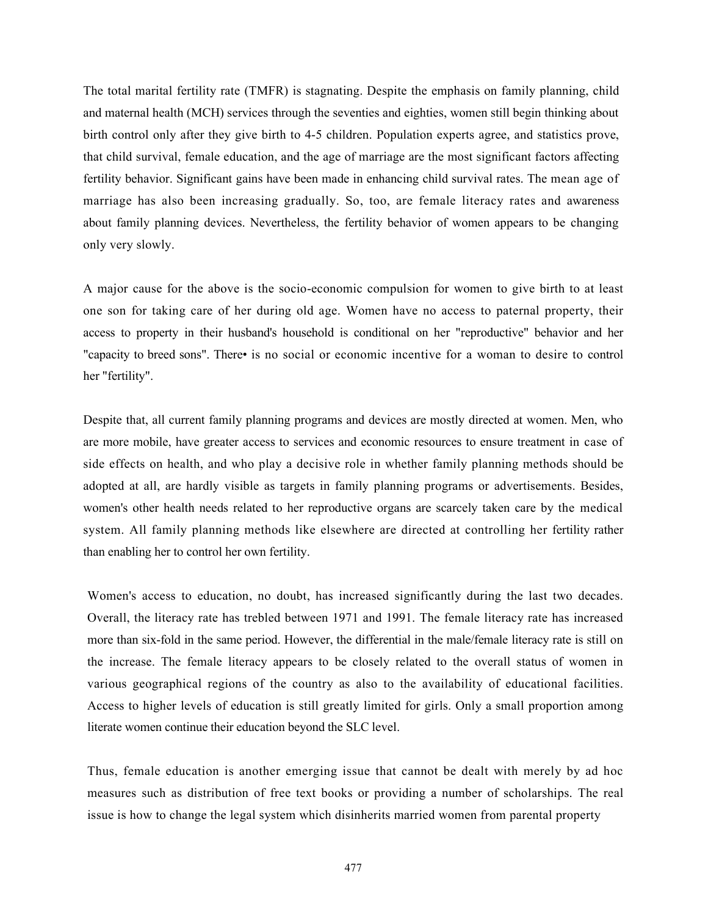The total marital fertility rate (TMFR) is stagnating. Despite the emphasis on family planning, child and maternal health (MCH) services through the seventies and eighties, women still begin thinking about birth control only after they give birth to 4-5 children. Population experts agree, and statistics prove, that child survival, female education, and the age of marriage are the most significant factors affecting fertility behavior. Significant gains have been made in enhancing child survival rates. The mean age of marriage has also been increasing gradually. So, too, are female literacy rates and awareness about family planning devices. Nevertheless, the fertility behavior of women appears to be changing only very slowly.

A major cause for the above is the socio-economic compulsion for women to give birth to at least one son for taking care of her during old age. Women have no access to paternal property, their access to property in their husband's household is conditional on her "reproductive" behavior and her "capacity to breed sons". There• is no social or economic incentive for a woman to desire to control her "fertility".

Despite that, all current family planning programs and devices are mostly directed at women. Men, who are more mobile, have greater access to services and economic resources to ensure treatment in case of side effects on health, and who play a decisive role in whether family planning methods should be adopted at all, are hardly visible as targets in family planning programs or advertisements. Besides, women's other health needs related to her reproductive organs are scarcely taken care by the medical system. All family planning methods like elsewhere are directed at controlling her fertility rather than enabling her to control her own fertility.

Women's access to education, no doubt, has increased significantly during the last two decades. Overall, the literacy rate has trebled between 1971 and 1991. The female literacy rate has increased more than six-fold in the same period. However, the differential in the male/female literacy rate is still on the increase. The female literacy appears to be closely related to the overall status of women in various geographical regions of the country as also to the availability of educational facilities. Access to higher levels of education is still greatly limited for girls. Only a small proportion among literate women continue their education beyond the SLC level.

Thus, female education is another emerging issue that cannot be dealt with merely by ad hoc measures such as distribution of free text books or providing a number of scholarships. The real issue is how to change the legal system which disinherits married women from parental property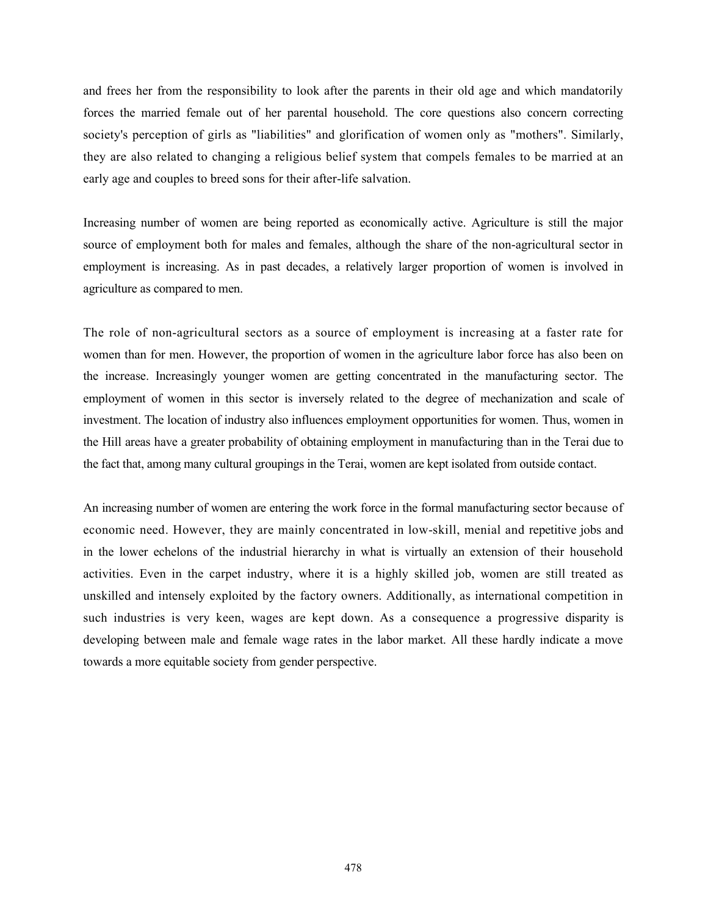and frees her from the responsibility to look after the parents in their old age and which mandatorily forces the married female out of her parental household. The core questions also concern correcting society's perception of girls as "liabilities" and glorification of women only as "mothers". Similarly, they are also related to changing a religious belief system that compels females to be married at an early age and couples to breed sons for their after-life salvation.

Increasing number of women are being reported as economically active. Agriculture is still the major source of employment both for males and females, although the share of the non-agricultural sector in employment is increasing. As in past decades, a relatively larger proportion of women is involved in agriculture as compared to men.

The role of non-agricultural sectors as a source of employment is increasing at a faster rate for women than for men. However, the proportion of women in the agriculture labor force has also been on the increase. Increasingly younger women are getting concentrated in the manufacturing sector. The employment of women in this sector is inversely related to the degree of mechanization and scale of investment. The location of industry also influences employment opportunities for women. Thus, women in the Hill areas have a greater probability of obtaining employment in manufacturing than in the Terai due to the fact that, among many cultural groupings in the Terai, women are kept isolated from outside contact.

An increasing number of women are entering the work force in the formal manufacturing sector because of economic need. However, they are mainly concentrated in low-skill, menial and repetitive jobs and in the lower echelons of the industrial hierarchy in what is virtually an extension of their household activities. Even in the carpet industry, where it is a highly skilled job, women are still treated as unskilled and intensely exploited by the factory owners. Additionally, as international competition in such industries is very keen, wages are kept down. As a consequence a progressive disparity is developing between male and female wage rates in the labor market. All these hardly indicate a move towards a more equitable society from gender perspective.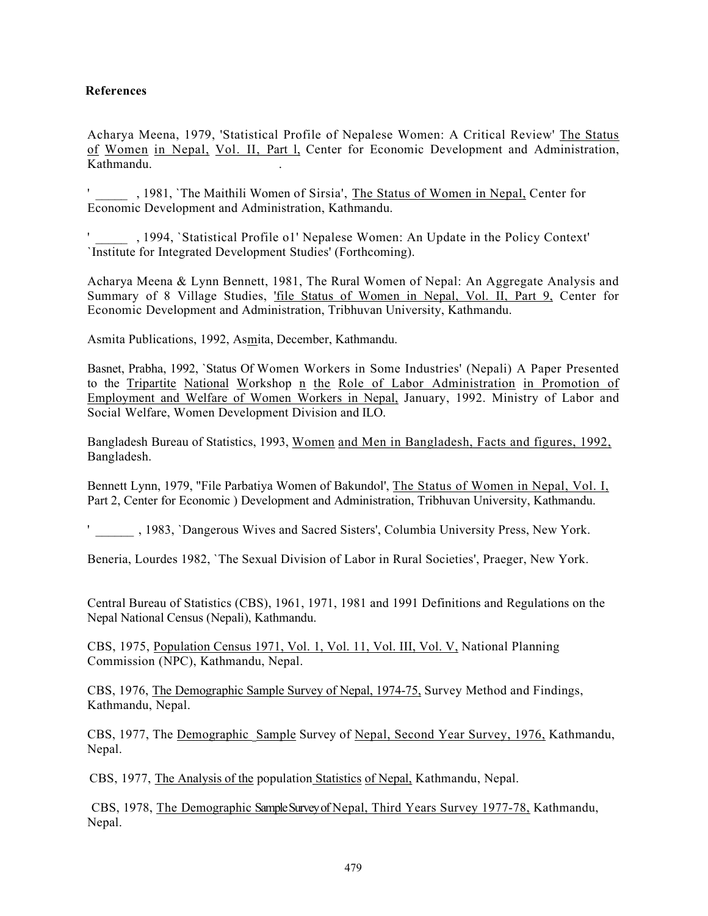# References

Acharya Meena, 1979, 'Statistical Profile of Nepalese Women: A Critical Review' The Status of Women in Nepal, Vol. II, Part l, Center for Economic Development and Administration, Kathmandu. .

, 1981, `The Maithili Women of Sirsia', The Status of Women in Nepal, Center for Economic Development and Administration, Kathmandu.

' \_\_\_\_\_ , 1994, `Statistical Profile o1' Nepalese Women: An Update in the Policy Context' `Institute for Integrated Development Studies' (Forthcoming).

Acharya Meena & Lynn Bennett, 1981, The Rural Women of Nepal: An Aggregate Analysis and Summary of 8 Village Studies, 'file Status of Women in Nepal, Vol. II, Part 9, Center for Economic Development and Administration, Tribhuvan University, Kathmandu.

Asmita Publications, 1992, Asmita, December, Kathmandu.

Basnet, Prabha, 1992, `Status Of Women Workers in Some Industries' (Nepali) A Paper Presented to the Tripartite National Workshop n the Role of Labor Administration in Promotion of Employment and Welfare of Women Workers in Nepal, January, 1992. Ministry of Labor and Social Welfare, Women Development Division and ILO.

Bangladesh Bureau of Statistics, 1993, Women and Men in Bangladesh, Facts and figures, 1992, Bangladesh.

Bennett Lynn, 1979, "File Parbatiya Women of Bakundol', The Status of Women in Nepal, Vol. I, Part 2, Center for Economic ) Development and Administration, Tribhuvan University, Kathmandu.

' \_\_\_\_\_\_ , 1983, `Dangerous Wives and Sacred Sisters', Columbia University Press, New York.

Beneria, Lourdes 1982, `The Sexual Division of Labor in Rural Societies', Praeger, New York.

Central Bureau of Statistics (CBS), 1961, 1971, 1981 and 1991 Definitions and Regulations on the Nepal National Census (Nepali), Kathmandu.

CBS, 1975, Population Census 1971, Vol. 1, Vol. 11, Vol. III, Vol. V, National Planning Commission (NPC), Kathmandu, Nepal.

CBS, 1976, The Demographic Sample Survey of Nepal, 1974-75, Survey Method and Findings, Kathmandu, Nepal.

CBS, 1977, The Demographic \_Sample Survey of Nepal, Second Year Survey, 1976, Kathmandu, Nepal.

CBS, 1977, The Analysis of the population Statistics of Nepal, Kathmandu, Nepal.

CBS, 1978, The Demographic Sample Survey of Nepal, Third Years Survey 1977-78, Kathmandu, Nepal.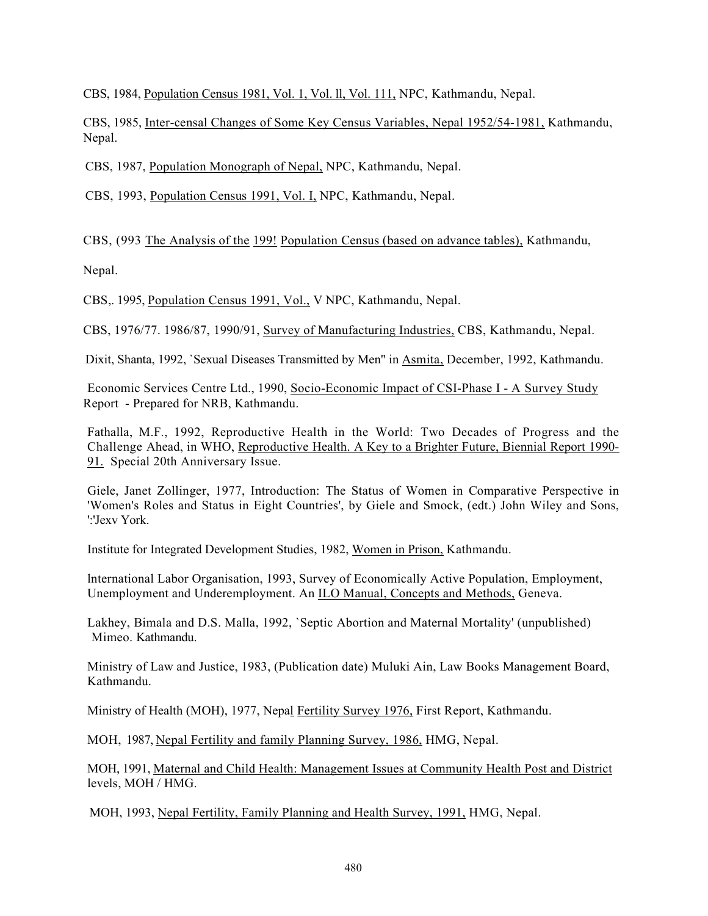CBS, 1984, Population Census 1981, Vol. 1, Vol. ll, Vol. 111, NPC, Kathmandu, Nepal.

CBS, 1985, Inter-censal Changes of Some Key Census Variables, Nepal 1952/54-1981, Kathmandu, Nepal.

CBS, 1987, Population Monograph of Nepal, NPC, Kathmandu, Nepal.

CBS, 1993, Population Census 1991, Vol. I, NPC, Kathmandu, Nepal.

CBS, (993 The Analysis of the 199! Population Census (based on advance tables), Kathmandu,

Nepal.

CBS,. 1995, Population Census 1991, Vol., V NPC, Kathmandu, Nepal.

CBS, 1976/77. 1986/87, 1990/91, Survey of Manufacturing Industries, CBS, Kathmandu, Nepal.

Dixit, Shanta, 1992, `Sexual Diseases Transmitted by Men" in Asmita, December, 1992, Kathmandu.

Economic Services Centre Ltd., 1990, Socio-Economic Impact of CSI-Phase I - A Survey Study Report - Prepared for NRB, Kathmandu.

Fathalla, M.F., 1992, Reproductive Health in the World: Two Decades of Progress and the Challenge Ahead, in WHO, Reproductive Health. A Key to a Brighter Future, Biennial Report 1990- 91. Special 20th Anniversary Issue.

Giele, Janet Zollinger, 1977, Introduction: The Status of Women in Comparative Perspective in 'Women's Roles and Status in Eight Countries', by Giele and Smock, (edt.) John Wiley and Sons, ':'Jexv York.

Institute for Integrated Development Studies, 1982, Women in Prison, Kathmandu.

lnternational Labor Organisation, 1993, Survey of Economically Active Population, Employment, Unemployment and Underemployment. An ILO Manual, Concepts and Methods, Geneva.

Lakhey, Bimala and D.S. Malla, 1992, `Septic Abortion and Maternal Mortality' (unpublished) Mimeo. Kathmandu.

Ministry of Law and Justice, 1983, (Publication date) Muluki Ain, Law Books Management Board, Kathmandu.

Ministry of Health (MOH), 1977, Nepal Fertility Survey 1976, First Report, Kathmandu.

MOH, 1987, Nepal Fertility and family Planning Survey, 1986, HMG, Nepal.

MOH, 1991, Maternal and Child Health: Management Issues at Community Health Post and District levels, MOH / HMG.

MOH, 1993, Nepal Fertility, Family Planning and Health Survey, 1991, HMG, Nepal.